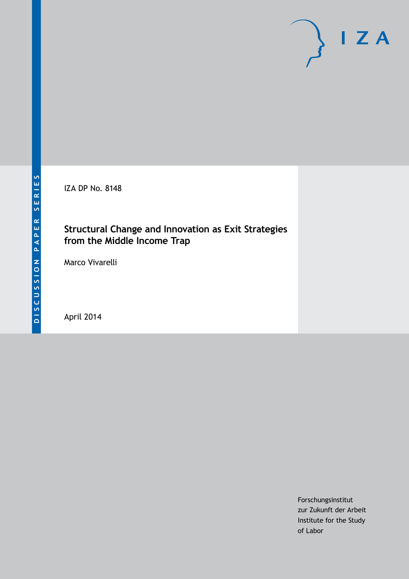IZA DP No. 8148

## **Structural Change and Innovation as Exit Strategies from the Middle Income Trap**

Marco Vivarelli

April 2014

Forschungsinstitut zur Zukunft der Arbeit Institute for the Study of Labor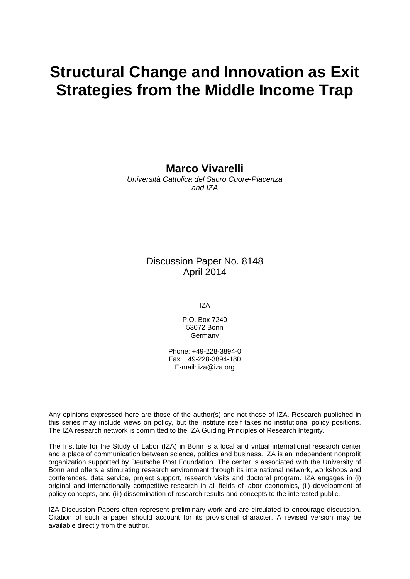# **Structural Change and Innovation as Exit Strategies from the Middle Income Trap**

**Marco Vivarelli**

*Università Cattolica del Sacro Cuore-Piacenza and IZA*

#### Discussion Paper No. 8148 April 2014

IZA

P.O. Box 7240 53072 Bonn Germany

Phone: +49-228-3894-0 Fax: +49-228-3894-180 E-mail: [iza@iza.org](mailto:iza@iza.org)

Any opinions expressed here are those of the author(s) and not those of IZA. Research published in this series may include views on policy, but the institute itself takes no institutional policy positions. The IZA research network is committed to the IZA Guiding Principles of Research Integrity.

The Institute for the Study of Labor (IZA) in Bonn is a local and virtual international research center and a place of communication between science, politics and business. IZA is an independent nonprofit organization supported by Deutsche Post Foundation. The center is associated with the University of Bonn and offers a stimulating research environment through its international network, workshops and conferences, data service, project support, research visits and doctoral program. IZA engages in (i) original and internationally competitive research in all fields of labor economics, (ii) development of policy concepts, and (iii) dissemination of research results and concepts to the interested public.

<span id="page-1-0"></span>IZA Discussion Papers often represent preliminary work and are circulated to encourage discussion. Citation of such a paper should account for its provisional character. A revised version may be available directly from the author.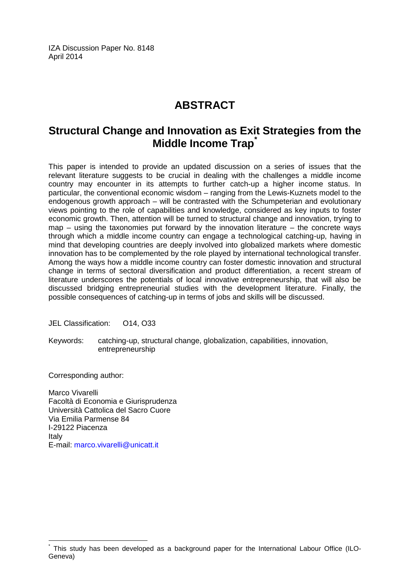IZA Discussion Paper No. 8148 April 2014

# **ABSTRACT**

## **Structural Change and Innovation as Exit Strategies from the Middle Income Trap[\\*](#page-1-0)**

This paper is intended to provide an updated discussion on a series of issues that the relevant literature suggests to be crucial in dealing with the challenges a middle income country may encounter in its attempts to further catch-up a higher income status. In particular, the conventional economic wisdom – ranging from the Lewis-Kuznets model to the endogenous growth approach – will be contrasted with the Schumpeterian and evolutionary views pointing to the role of capabilities and knowledge, considered as key inputs to foster economic growth. Then, attention will be turned to structural change and innovation, trying to map  $-$  using the taxonomies put forward by the innovation literature  $-$  the concrete ways through which a middle income country can engage a technological catching-up, having in mind that developing countries are deeply involved into globalized markets where domestic innovation has to be complemented by the role played by international technological transfer. Among the ways how a middle income country can foster domestic innovation and structural change in terms of sectoral diversification and product differentiation, a recent stream of literature underscores the potentials of local innovative entrepreneurship, that will also be discussed bridging entrepreneurial studies with the development literature. Finally, the possible consequences of catching-up in terms of jobs and skills will be discussed.

JEL Classification: 014, 033

Keywords: catching-up, structural change, globalization, capabilities, innovation, entrepreneurship

Corresponding author:

Marco Vivarelli Facoltà di Economia e Giurisprudenza Università Cattolica del Sacro Cuore Via Emilia Parmense 84 I-29122 Piacenza Italy E-mail: [marco.vivarelli@unicatt.it](mailto:marco.vivarelli@unicatt.it)

This study has been developed as a background paper for the International Labour Office (ILO-Geneva)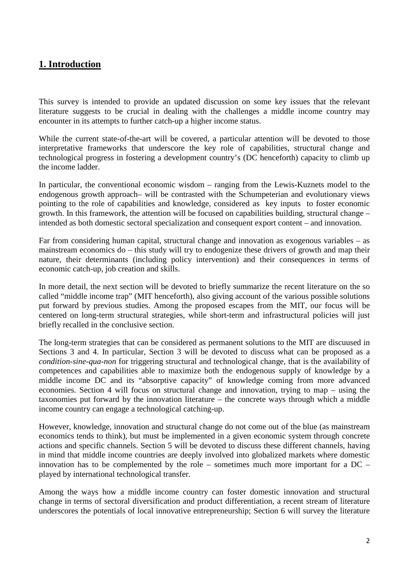## **1. Introduction**

This survey is intended to provide an updated discussion on some key issues that the relevant literature suggests to be crucial in dealing with the challenges a middle income country may encounter in its attempts to further catch-up a higher income status.

While the current state-of-the-art will be covered, a particular attention will be devoted to those interpretative frameworks that underscore the key role of capabilities, structural change and technological progress in fostering a development country's (DC henceforth) capacity to climb up the income ladder.

In particular, the conventional economic wisdom – ranging from the Lewis-Kuznets model to the endogenous growth approach– will be contrasted with the Schumpeterian and evolutionary views pointing to the role of capabilities and knowledge, considered as key inputs to foster economic growth. In this framework, the attention will be focused on capabilities building, structural change – intended as both domestic sectoral specialization and consequent export content – and innovation.

Far from considering human capital, structural change and innovation as exogenous variables – as mainstream economics do – this study will try to endogenize these drivers of growth and map their nature, their determinants (including policy intervention) and their consequences in terms of economic catch-up, job creation and skills.

In more detail, the next section will be devoted to briefly summarize the recent literature on the so called "middle income trap" (MIT henceforth), also giving account of the various possible solutions put forward by previous studies. Among the proposed escapes from the MIT, our focus will be centered on long-term structural strategies, while short-term and infrastructural policies will just briefly recalled in the conclusive section.

The long-term strategies that can be considered as permanent solutions to the MIT are discuused in Sections 3 and 4. In particular, Section 3 will be devoted to discuss what can be proposed as a *condition-sine-qua-non* for triggering structural and technological change, that is the availability of competences and capabilities able to maximize both the endogenous supply of knowledge by a middle income DC and its "absorptive capacity" of knowledge coming from more advanced economies. Section 4 will focus on structural change and innovation, trying to map – using the taxonomies put forward by the innovation literature – the concrete ways through which a middle income country can engage a technological catching-up.

However, knowledge, innovation and structural change do not come out of the blue (as mainstream economics tends to think), but must be implemented in a given economic system through concrete actions and specific channels. Section 5 will be devoted to discuss these different channels, having in mind that middle income countries are deeply involved into globalized markets where domestic innovation has to be complemented by the role – sometimes much more important for a DC – played by international technological transfer.

Among the ways how a middle income country can foster domestic innovation and structural change in terms of sectoral diversification and product differentiation, a recent stream of literature underscores the potentials of local innovative entrepreneurship; Section 6 will survey the literature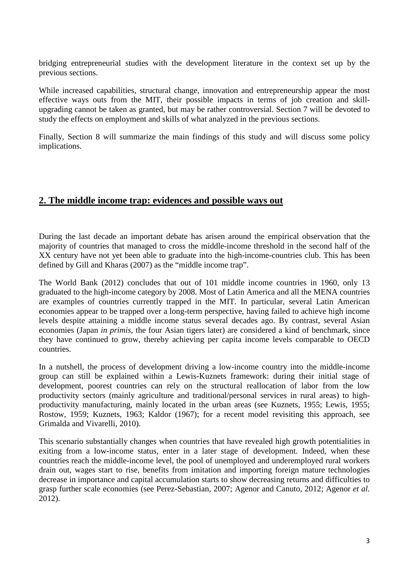bridging entrepreneurial studies with the development literature in the context set up by the previous sections.

While increased capabilities, structural change, innovation and entrepreneurship appear the most effective ways outs from the MIT, their possible impacts in terms of job creation and skillupgrading cannot be taken as granted, but may be rather controversial. Section 7 will be devoted to study the effects on employment and skills of what analyzed in the previous sections.

Finally, Section 8 will summarize the main findings of this study and will discuss some policy implications.

#### **2. The middle income trap: evidences and possible ways out**

During the last decade an important debate has arisen around the empirical observation that the majority of countries that managed to cross the middle-income threshold in the second half of the XX century have not yet been able to graduate into the high-income-countries club. This has been defined by Gill and Kharas (2007) as the "middle income trap".

The World Bank (2012) concludes that out of 101 middle income countries in 1960, only 13 graduated to the high-income category by 2008. Most of Latin America and all the MENA countries are examples of countries currently trapped in the MIT. In particular, several Latin American economies appear to be trapped over a long-term perspective, having failed to achieve high income levels despite attaining a middle income status several decades ago. By contrast, several Asian economies (Japan *in primis*, the four Asian tigers later) are considered a kind of benchmark, since they have continued to grow, thereby achieving per capita income levels comparable to OECD countries.

In a nutshell, the process of development driving a low-income country into the middle-income group can still be explained within a Lewis-Kuznets framework: during their initial stage of development, poorest countries can rely on the structural reallocation of labor from the low productivity sectors (mainly agriculture and traditional/personal services in rural areas) to highproductivity manufacturing, mainly located in the urban areas (see Kuznets, 1955; Lewis, 1955; Rostow, 1959; Kuznets, 1963; Kaldor (1967); for a recent model revisiting this approach, see Grimalda and Vivarelli, 2010).

This scenario substantially changes when countries that have revealed high growth potentialities in exiting from a low-income status, enter in a later stage of development. Indeed, when these countries reach the middle-income level, the pool of unemployed and underemployed rural workers drain out, wages start to rise, benefits from imitation and importing foreign mature technologies decrease in importance and capital accumulation starts to show decreasing returns and difficulties to grasp further scale economies (see Perez-Sebastian, 2007; Agenor and Canuto, 2012; Agenor *et al.* 2012).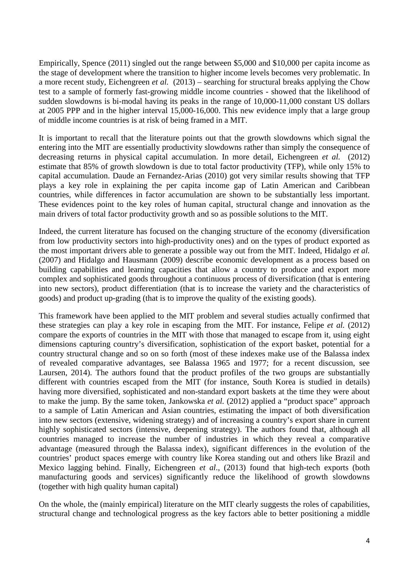Empirically, Spence (2011) singled out the range between \$5,000 and \$10,000 per capita income as the stage of development where the transition to higher income levels becomes very problematic. In a more recent study, Eichengreen *et al.* (2013) – searching for structural breaks applying the Chow test to a sample of formerly fast-growing middle income countries - showed that the likelihood of sudden slowdowns is bi-modal having its peaks in the range of 10,000-11,000 constant US dollars at 2005 PPP and in the higher interval 15,000-16,000. This new evidence imply that a large group of middle income countries is at risk of being framed in a MIT.

It is important to recall that the literature points out that the growth slowdowns which signal the entering into the MIT are essentially productivity slowdowns rather than simply the consequence of decreasing returns in physical capital accumulation. In more detail, Eichengreen *et al.* (2012) estimate that 85% of growth slowdown is due to total factor productivity (TFP), while only 15% to capital accumulation. Daude an Fernandez-Arias (2010) got very similar results showing that TFP plays a key role in explaining the per capita income gap of Latin American and Caribbean countries, while differences in factor accumulation are shown to be substantially less important. These evidences point to the key roles of human capital, structural change and innovation as the main drivers of total factor productivity growth and so as possible solutions to the MIT.

Indeed, the current literature has focused on the changing structure of the economy (diversification from low productivity sectors into high-productivity ones) and on the types of product exported as the most important drivers able to generate a possible way out from the MIT. Indeed, Hidalgo *et al.* (2007) and Hidalgo and Hausmann (2009) describe economic development as a process based on building capabilities and learning capacities that allow a country to produce and export more complex and sophisticated goods throughout a continuous process of diversification (that is entering into new sectors), product differentiation (that is to increase the variety and the characteristics of goods) and product up-grading (that is to improve the quality of the existing goods).

This framework have been applied to the MIT problem and several studies actually confirmed that these strategies can play a key role in escaping from the MIT. For instance, Felipe *et al.* (2012) compare the exports of countries in the MIT with those that managed to escape from it, using eight dimensions capturing country's diversification, sophistication of the export basket, potential for a country structural change and so on so forth (most of these indexes make use of the Balassa index of revealed comparative advantages, see Balassa 1965 and 1977; for a recent discussion, see Laursen, 2014). The authors found that the product profiles of the two groups are substantially different with countries escaped from the MIT (for instance, South Korea is studied in details) having more diversified, sophisticated and non-standard export baskets at the time they were about to make the jump. By the same token, Jankowska *et al.* (2012) applied a "product space" approach to a sample of Latin American and Asian countries, estimating the impact of both diversification into new sectors (extensive, widening strategy) and of increasing a country's export share in current highly sophisticated sectors (intensive, deepening strategy). The authors found that, although all countries managed to increase the number of industries in which they reveal a comparative advantage (measured through the Balassa index), significant differences in the evolution of the countries' product spaces emerge with country like Korea standing out and others like Brazil and Mexico lagging behind. Finally, Eichengreen *et al*., (2013) found that high-tech exports (both manufacturing goods and services) significantly reduce the likelihood of growth slowdowns (together with high quality human capital)

On the whole, the (mainly empirical) literature on the MIT clearly suggests the roles of capabilities, structural change and technological progress as the key factors able to better positioning a middle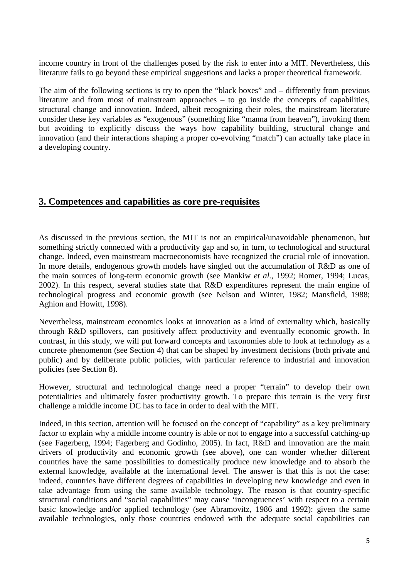income country in front of the challenges posed by the risk to enter into a MIT. Nevertheless, this literature fails to go beyond these empirical suggestions and lacks a proper theoretical framework.

The aim of the following sections is try to open the "black boxes" and – differently from previous literature and from most of mainstream approaches – to go inside the concepts of capabilities, structural change and innovation. Indeed, albeit recognizing their roles, the mainstream literature consider these key variables as "exogenous" (something like "manna from heaven"), invoking them but avoiding to explicitly discuss the ways how capability building, structural change and innovation (and their interactions shaping a proper co-evolving "match") can actually take place in a developing country.

#### **3. Competences and capabilities as core pre-requisites**

As discussed in the previous section, the MIT is not an empirical/unavoidable phenomenon, but something strictly connected with a productivity gap and so, in turn, to technological and structural change. Indeed, even mainstream macroeconomists have recognized the crucial role of innovation. In more details, endogenous growth models have singled out the accumulation of R&D as one of the main sources of long-term economic growth (see Mankiw *et al.*, 1992; Romer, 1994; Lucas, 2002). In this respect, several studies state that R&D expenditures represent the main engine of technological progress and economic growth (see Nelson and Winter, 1982; Mansfield, 1988; Aghion and Howitt, 1998).

Nevertheless, mainstream economics looks at innovation as a kind of externality which, basically through R&D spillovers, can positively affect productivity and eventually economic growth. In contrast, in this study, we will put forward concepts and taxonomies able to look at technology as a concrete phenomenon (see Section 4) that can be shaped by investment decisions (both private and public) and by deliberate public policies, with particular reference to industrial and innovation policies (see Section 8).

However, structural and technological change need a proper "terrain" to develop their own potentialities and ultimately foster productivity growth. To prepare this terrain is the very first challenge a middle income DC has to face in order to deal with the MIT.

Indeed, in this section, attention will be focused on the concept of "capability" as a key preliminary factor to explain why a middle income country is able or not to engage into a successful catching-up (see Fagerberg, 1994; Fagerberg and Godinho, 2005). In fact, R&D and innovation are the main drivers of productivity and economic growth (see above), one can wonder whether different countries have the same possibilities to domestically produce new knowledge and to absorb the external knowledge, available at the international level. The answer is that this is not the case: indeed, countries have different degrees of capabilities in developing new knowledge and even in take advantage from using the same available technology. The reason is that country-specific structural conditions and "social capabilities" may cause 'incongruences' with respect to a certain basic knowledge and/or applied technology (see Abramovitz, 1986 and 1992): given the same available technologies, only those countries endowed with the adequate social capabilities can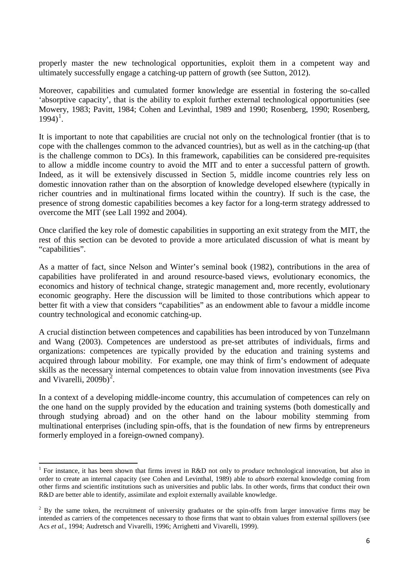properly master the new technological opportunities, exploit them in a competent way and ultimately successfully engage a catching-up pattern of growth (see Sutton, 2012).

Moreover, capabilities and cumulated former knowledge are essential in fostering the so-called 'absorptive capacity', that is the ability to exploit further external technological opportunities (see Mowery, 1983; Pavitt, 1984; Cohen and Levinthal, 1989 and 1990; Rosenberg, 1990; Rosenberg,  $1994$ <sup>1</sup>.

It is important to note that capabilities are crucial not only on the technological frontier (that is to cope with the challenges common to the advanced countries), but as well as in the catching-up (that is the challenge common to DCs). In this framework, capabilities can be considered pre-requisites to allow a middle income country to avoid the MIT and to enter a successful pattern of growth. Indeed, as it will be extensively discussed in Section 5, middle income countries rely less on domestic innovation rather than on the absorption of knowledge developed elsewhere (typically in richer countries and in multinational firms located within the country). If such is the case, the presence of strong domestic capabilities becomes a key factor for a long-term strategy addressed to overcome the MIT (see Lall 1992 and 2004).

Once clarified the key role of domestic capabilities in supporting an exit strategy from the MIT, the rest of this section can be devoted to provide a more articulated discussion of what is meant by "capabilities".

As a matter of fact, since Nelson and Winter's seminal book (1982), contributions in the area of capabilities have proliferated in and around resource-based views, evolutionary economics, the economics and history of technical change, strategic management and, more recently, evolutionary economic geography. Here the discussion will be limited to those contributions which appear to better fit with a view that considers "capabilities" as an endowment able to favour a middle income country technological and economic catching-up.

A crucial distinction between competences and capabilities has been introduced by von Tunzelmann and Wang (2003). Competences are understood as pre-set attributes of individuals, firms and organizations: competences are typically provided by the education and training systems and acquired through labour mobility. For example, one may think of firm's endowment of adequate skills as the necessary internal competences to obtain value from innovation investments (see Piva and Vivarelli, [2](#page-7-0)009b)<sup>2</sup>.

In a context of a developing middle-income country, this accumulation of competences can rely on the one hand on the supply provided by the education and training systems (both domestically and through studying abroad) and on the other hand on the labour mobility stemming from multinational enterprises (including spin-offs, that is the foundation of new firms by entrepreneurs formerly employed in a foreign-owned company).

<sup>1</sup> For instance, it has been shown that firms invest in R&D not only to *produce* technological innovation, but also in order to create an internal capacity (see Cohen and Levinthal, 1989) able to *absorb* external knowledge coming from other firms and scientific institutions such as universities and public labs. In other words, firms that conduct their own R&D are better able to identify, assimilate and exploit externally available knowledge.

<span id="page-7-1"></span><span id="page-7-0"></span> $2$  By the same token, the recruitment of university graduates or the spin-offs from larger innovative firms may be intended as carriers of the competences necessary to those firms that want to obtain values from external spillovers (see Acs *et al.*, 1994; Audretsch and Vivarelli, 1996; Arrighetti and Vivarelli, 1999).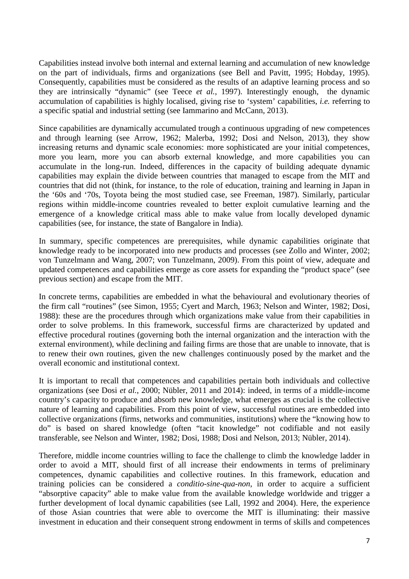Capabilities instead involve both internal and external learning and accumulation of new knowledge on the part of individuals, firms and organizations (see Bell and Pavitt, 1995; Hobday, 1995). Consequently, capabilities must be considered as the results of an adaptive learning process and so they are intrinsically "dynamic" (see Teece *et al.*, 1997). Interestingly enough, the dynamic accumulation of capabilities is highly localised, giving rise to 'system' capabilities, *i.e.* referring to a specific spatial and industrial setting (see Iammarino and McCann, 2013).

Since capabilities are dynamically accumulated trough a continuous upgrading of new competences and through learning (see Arrow, 1962; Malerba, 1992; Dosi and Nelson, 2013), they show increasing returns and dynamic scale economies: more sophisticated are your initial competences, more you learn, more you can absorb external knowledge, and more capabilities you can accumulate in the long-run. Indeed, differences in the capacity of building adequate dynamic capabilities may explain the divide between countries that managed to escape from the MIT and countries that did not (think, for instance, to the role of education, training and learning in Japan in the '60s and '70s, Toyota being the most studied case, see Freeman, 1987). Similarly, particular regions within middle-income countries revealed to better exploit cumulative learning and the emergence of a knowledge critical mass able to make value from locally developed dynamic capabilities (see, for instance, the state of Bangalore in India).

In summary, specific competences are prerequisites, while dynamic capabilities originate that knowledge ready to be incorporated into new products and processes (see Zollo and Winter, 2002; von Tunzelmann and Wang, 2007; von Tunzelmann, 2009). From this point of view, adequate and updated competences and capabilities emerge as core assets for expanding the "product space" (see previous section) and escape from the MIT.

In concrete terms, capabilities are embedded in what the behavioural and evolutionary theories of the firm call "routines" (see Simon, 1955; Cyert and March, 1963; Nelson and Winter, 1982; Dosi, 1988): these are the procedures through which organizations make value from their capabilities in order to solve problems. In this framework, successful firms are characterized by updated and effective procedural routines (governing both the internal organization and the interaction with the external environment), while declining and failing firms are those that are unable to innovate, that is to renew their own routines, given the new challenges continuously posed by the market and the overall economic and institutional context.

It is important to recall that competences and capabilities pertain both individuals and collective organizations (see Dosi *et al.*, 2000; Nübler, 2011 and 2014): indeed, in terms of a middle-income country's capacity to produce and absorb new knowledge, what emerges as crucial is the collective nature of learning and capabilities. From this point of view, successful routines are embedded into collective organizations (firms, networks and communities, institutions) where the "knowing how to do" is based on shared knowledge (often "tacit knowledge" not codifiable and not easily transferable, see Nelson and Winter, 1982; Dosi, 1988; Dosi and Nelson, 2013; Nübler, 2014).

Therefore, middle income countries willing to face the challenge to climb the knowledge ladder in order to avoid a MIT, should first of all increase their endowments in terms of preliminary competences, dynamic capabilities and collective routines. In this framework, education and training policies can be considered a *conditio-sine-qua-non*, in order to acquire a sufficient "absorptive capacity" able to make value from the available knowledge worldwide and trigger a further development of local dynamic capabilities (see Lall, 1992 and 2004). Here, the experience of those Asian countries that were able to overcome the MIT is illuminating: their massive investment in education and their consequent strong endowment in terms of skills and competences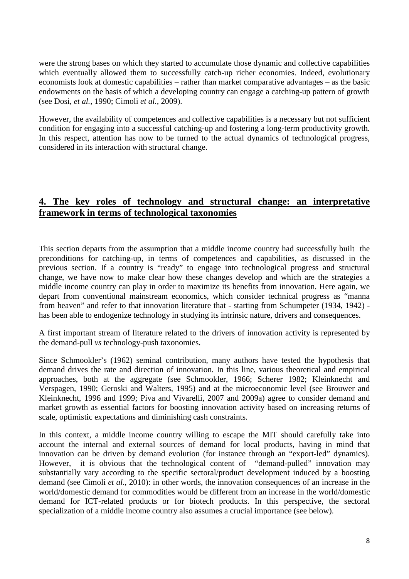were the strong bases on which they started to accumulate those dynamic and collective capabilities which eventually allowed them to successfully catch-up richer economies. Indeed, evolutionary economists look at domestic capabilities – rather than market comparative advantages – as the basic endowments on the basis of which a developing country can engage a catching-up pattern of growth (see Dosi, *et al.,* 1990; Cimoli *et al.,* 2009).

However, the availability of competences and collective capabilities is a necessary but not sufficient condition for engaging into a successful catching-up and fostering a long-term productivity growth. In this respect, attention has now to be turned to the actual dynamics of technological progress, considered in its interaction with structural change.

#### **4. The key roles of technology and structural change: an interpretative framework in terms of technological taxonomies**

This section departs from the assumption that a middle income country had successfully built the preconditions for catching-up, in terms of competences and capabilities, as discussed in the previous section. If a country is "ready" to engage into technological progress and structural change, we have now to make clear how these changes develop and which are the strategies a middle income country can play in order to maximize its benefits from innovation. Here again, we depart from conventional mainstream economics, which consider technical progress as "manna from heaven" and refer to that innovation literature that - starting from Schumpeter (1934, 1942) has been able to endogenize technology in studying its intrinsic nature, drivers and consequences.

A first important stream of literature related to the drivers of innovation activity is represented by the demand-pull *vs* technology-push taxonomies.

Since Schmookler's (1962) seminal contribution, many authors have tested the hypothesis that demand drives the rate and direction of innovation. In this line, various theoretical and empirical approaches, both at the aggregate (see Schmookler, 1966; Scherer 1982; Kleinknecht and Verspagen, 1990; Geroski and Walters, 1995) and at the microeconomic level (see Brouwer and Kleinknecht, 1996 and 1999; Piva and Vivarelli, 2007 and 2009a) agree to consider demand and market growth as essential factors for boosting innovation activity based on increasing returns of scale, optimistic expectations and diminishing cash constraints.

In this context, a middle income country willing to escape the MIT should carefully take into account the internal and external sources of demand for local products, having in mind that innovation can be driven by demand evolution (for instance through an "export-led" dynamics). However, it is obvious that the technological content of "demand-pulled" innovation may substantially vary according to the specific sectoral/product development induced by a boosting demand (see Cimoli *et al*., 2010): in other words, the innovation consequences of an increase in the world/domestic demand for commodities would be different from an increase in the world/domestic demand for ICT-related products or for biotech products. In this perspective, the sectoral specialization of a middle income country also assumes a crucial importance (see below).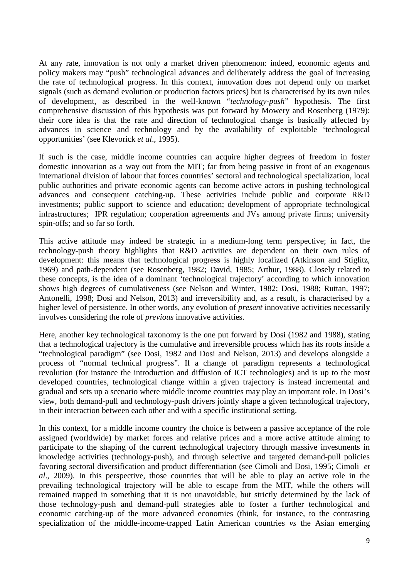At any rate, innovation is not only a market driven phenomenon: indeed, economic agents and policy makers may "push" technological advances and deliberately address the goal of increasing the rate of technological progress. In this context, innovation does not depend only on market signals (such as demand evolution or production factors prices) but is characterised by its own rules of development, as described in the well-known "*technology-push*" hypothesis. The first comprehensive discussion of this hypothesis was put forward by Mowery and Rosenberg (1979): their core idea is that the rate and direction of technological change is basically affected by advances in science and technology and by the availability of exploitable 'technological opportunities' (see Klevorick *et al*., 1995).

If such is the case, middle income countries can acquire higher degrees of freedom in foster domestic innovation as a way out from the MIT; far from being passive in front of an exogenous international division of labour that forces countries' sectoral and technological specialization, local public authorities and private economic agents can become active actors in pushing technological advances and consequent catching-up. These activities include public and corporate R&D investments; public support to science and education; development of appropriate technological infrastructures; IPR regulation; cooperation agreements and JVs among private firms; university spin-offs; and so far so forth.

This active attitude may indeed be strategic in a medium-long term perspective; in fact, the technology-push theory highlights that R&D activities are dependent on their own rules of development: this means that technological progress is highly localized (Atkinson and Stiglitz, 1969) and path-dependent (see Rosenberg, 1982; David, 1985; Arthur, 1988). Closely related to these concepts, is the idea of a dominant 'technological trajectory' according to which innovation shows high degrees of cumulativeness (see Nelson and Winter, 1982; Dosi, 1988; Ruttan, 1997; Antonelli, 1998; Dosi and Nelson, 2013) and irreversibility and, as a result, is characterised by a higher level of persistence. In other words, any evolution of *present* innovative activities necessarily involves considering the role of *previous* innovative activities.

Here, another key technological taxonomy is the one put forward by Dosi (1982 and 1988), stating that a technological trajectory is the cumulative and irreversible process which has its roots inside a "technological paradigm" (see Dosi, 1982 and Dosi and Nelson, 2013) and develops alongside a process of "normal technical progress". If a change of paradigm represents a technological revolution (for instance the introduction and diffusion of ICT technologies) and is up to the most developed countries, technological change within a given trajectory is instead incremental and gradual and sets up a scenario where middle income countries may play an important role. In Dosi's view, both demand-pull and technology-push drivers jointly shape a given technological trajectory, in their interaction between each other and with a specific institutional setting.

In this context, for a middle income country the choice is between a passive acceptance of the role assigned (worldwide) by market forces and relative prices and a more active attitude aiming to participate to the shaping of the current technological trajectory through massive investments in knowledge activities (technology-push), and through selective and targeted demand-pull policies favoring sectoral diversification and product differentiation (see Cimoli and Dosi, 1995; Cimoli *et al*., 2009). In this perspective, those countries that will be able to play an active role in the prevailing technological trajectory will be able to escape from the MIT, while the others will remained trapped in something that it is not unavoidable, but strictly determined by the lack of those technology-push and demand-pull strategies able to foster a further technological and economic catching-up of the more advanced economies (think, for instance, to the contrasting specialization of the middle-income-trapped Latin American countries *vs* the Asian emerging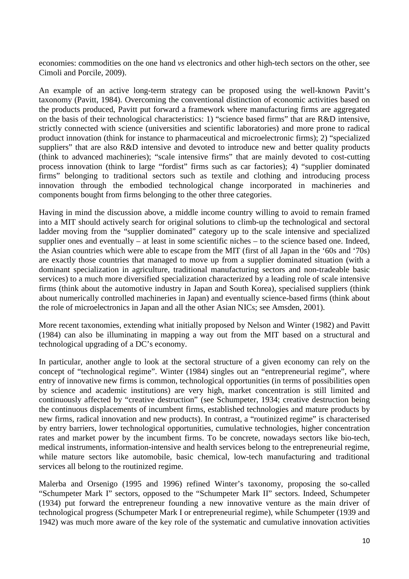economies: commodities on the one hand *vs* electronics and other high-tech sectors on the other, see Cimoli and Porcile, 2009).

An example of an active long-term strategy can be proposed using the well-known Pavitt's taxonomy (Pavitt, 1984). Overcoming the conventional distinction of economic activities based on the products produced, Pavitt put forward a framework where manufacturing firms are aggregated on the basis of their technological characteristics: 1) "science based firms" that are R&D intensive, strictly connected with science (universities and scientific laboratories) and more prone to radical product innovation (think for instance to pharmaceutical and microelectronic firms); 2) "specialized suppliers" that are also R&D intensive and devoted to introduce new and better quality products (think to advanced machineries); "scale intensive firms" that are mainly devoted to cost-cutting process innovation (think to large "fordist" firms such as car factories); 4) "supplier dominated firms" belonging to traditional sectors such as textile and clothing and introducing process innovation through the embodied technological change incorporated in machineries and components bought from firms belonging to the other three categories.

Having in mind the discussion above, a middle income country willing to avoid to remain framed into a MIT should actively search for original solutions to climb-up the technological and sectoral ladder moving from the "supplier dominated" category up to the scale intensive and specialized supplier ones and eventually – at least in some scientific niches – to the science based one. Indeed, the Asian countries which were able to escape from the MIT (first of all Japan in the '60s and '70s) are exactly those countries that managed to move up from a supplier dominated situation (with a dominant specialization in agriculture, traditional manufacturing sectors and non-tradeable basic services) to a much more diversified specialization characterized by a leading role of scale intensive firms (think about the automotive industry in Japan and South Korea), specialised suppliers (think about numerically controlled machineries in Japan) and eventually science-based firms (think about the role of microelectronics in Japan and all the other Asian NICs; see Amsden, 2001).

More recent taxonomies, extending what initially proposed by Nelson and Winter (1982) and Pavitt (1984) can also be illuminating in mapping a way out from the MIT based on a structural and technological upgrading of a DC's economy.

In particular, another angle to look at the sectoral structure of a given economy can rely on the concept of "technological regime". Winter (1984) singles out an "entrepreneurial regime", where entry of innovative new firms is common, technological opportunities (in terms of possibilities open by science and academic institutions) are very high, market concentration is still limited and continuously affected by "creative destruction" (see Schumpeter, 1934; creative destruction being the continuous displacements of incumbent firms, established technologies and mature products by new firms, radical innovation and new products). In contrast, a "routinized regime" is characterised by entry barriers, lower technological opportunities, cumulative technologies, higher concentration rates and market power by the incumbent firms. To be concrete, nowadays sectors like bio-tech, medical instruments, information-intensive and health services belong to the entrepreneurial regime, while mature sectors like automobile, basic chemical, low-tech manufacturing and traditional services all belong to the routinized regime.

Malerba and Orsenigo (1995 and 1996) refined Winter's taxonomy, proposing the so-called "Schumpeter Mark I" sectors, opposed to the "Schumpeter Mark II" sectors. Indeed, Schumpeter (1934) put forward the entrepreneur founding a new innovative venture as the main driver of technological progress (Schumpeter Mark I or entrepreneurial regime), while Schumpeter (1939 and 1942) was much more aware of the key role of the systematic and cumulative innovation activities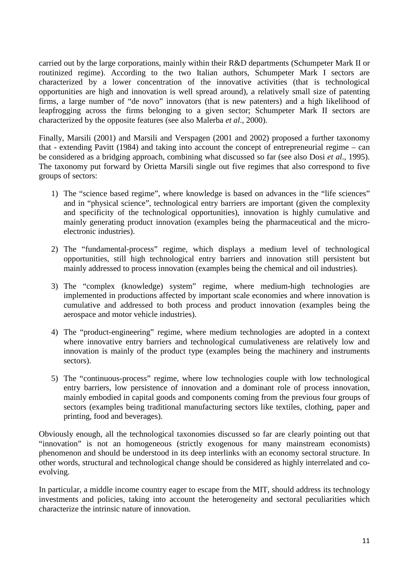carried out by the large corporations, mainly within their R&D departments (Schumpeter Mark II or routinized regime). According to the two Italian authors, Schumpeter Mark I sectors are characterized by a lower concentration of the innovative activities (that is technological opportunities are high and innovation is well spread around), a relatively small size of patenting firms, a large number of "de novo" innovators (that is new patenters) and a high likelihood of leapfrogging across the firms belonging to a given sector; Schumpeter Mark II sectors are characterized by the opposite features (see also Malerba *et al*., 2000).

Finally, Marsili (2001) and Marsili and Verspagen (2001 and 2002) proposed a further taxonomy that - extending Pavitt (1984) and taking into account the concept of entrepreneurial regime – can be considered as a bridging approach, combining what discussed so far (see also Dosi *et al*., 1995). The taxonomy put forward by Orietta Marsili single out five regimes that also correspond to five groups of sectors:

- 1) The "science based regime", where knowledge is based on advances in the "life sciences" and in "physical science", technological entry barriers are important (given the complexity and specificity of the technological opportunities), innovation is highly cumulative and mainly generating product innovation (examples being the pharmaceutical and the microelectronic industries).
- 2) The "fundamental-process" regime, which displays a medium level of technological opportunities, still high technological entry barriers and innovation still persistent but mainly addressed to process innovation (examples being the chemical and oil industries).
- 3) The "complex (knowledge) system" regime, where medium-high technologies are implemented in productions affected by important scale economies and where innovation is cumulative and addressed to both process and product innovation (examples being the aerospace and motor vehicle industries).
- 4) The "product-engineering" regime, where medium technologies are adopted in a context where innovative entry barriers and technological cumulativeness are relatively low and innovation is mainly of the product type (examples being the machinery and instruments sectors).
- 5) The "continuous-process" regime, where low technologies couple with low technological entry barriers, low persistence of innovation and a dominant role of process innovation, mainly embodied in capital goods and components coming from the previous four groups of sectors (examples being traditional manufacturing sectors like textiles, clothing, paper and printing, food and beverages).

Obviously enough, all the technological taxonomies discussed so far are clearly pointing out that "innovation" is not an homogeneous (strictly exogenous for many mainstream economists) phenomenon and should be understood in its deep interlinks with an economy sectoral structure. In other words, structural and technological change should be considered as highly interrelated and coevolving.

In particular, a middle income country eager to escape from the MIT, should address its technology investments and policies, taking into account the heterogeneity and sectoral peculiarities which characterize the intrinsic nature of innovation.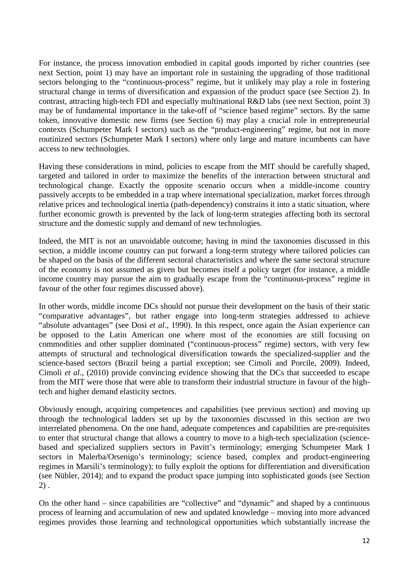For instance, the process innovation embodied in capital goods imported by richer countries (see next Section, point 1) may have an important role in sustaining the upgrading of those traditional sectors belonging to the "continuous-process" regime, but it unlikely may play a role in fostering structural change in terms of diversification and expansion of the product space (see Section 2). In contrast, attracting high-tech FDI and especially multinational R&D labs (see next Section, point 3) may be of fundamental importance in the take-off of "science based regime" sectors. By the same token, innovative domestic new firms (see Section 6) may play a crucial role in entrepreneurial contexts (Schumpeter Mark I sectors) such as the "product-engineering" regime, but not in more routinized sectors (Schumpeter Mark I sectors) where only large and mature incumbents can have access to new technologies.

Having these considerations in mind, policies to escape from the MIT should be carefully shaped, targeted and tailored in order to maximize the benefits of the interaction between structural and technological change. Exactly the opposite scenario occurs when a middle-income country passively accepts to be embedded in a trap where international specialization, market forces through relative prices and technological inertia (path-dependency) constrains it into a static situation, where further economic growth is prevented by the lack of long-term strategies affecting both its sectoral structure and the domestic supply and demand of new technologies.

Indeed, the MIT is not an unavoidable outcome; having in mind the taxonomies discussed in this section, a middle income country can put forward a long-term strategy where tailored policies can be shaped on the basis of the different sectoral characteristics and where the same sectoral structure of the economy is not assumed as given but becomes itself a policy target (for instance, a middle income country may pursue the aim to gradually escape from the "continuous-process" regime in favour of the other four regimes discussed above).

In other words, middle income DCs should not pursue their development on the basis of their static "comparative advantages", but rather engage into long-term strategies addressed to achieve "absolute advantages" (see Dosi *et al*., 1990). In this respect, once again the Asian experience can be opposed to the Latin American one where most of the economies are still focusing on commodities and other supplier dominated ("continuous-process" regime) sectors, with very few attempts of structural and technological diversification towards the specialized-supplier and the science-based sectors (Brazil being a partial exception; see Cimoli and Porcile, 2009). Indeed, Cimoli *et al*., (2010) provide convincing evidence showing that the DCs that succeeded to escape from the MIT were those that were able to transform their industrial structure in favour of the hightech and higher demand elasticity sectors.

Obviously enough, acquiring competences and capabilities (see previous section) and moving up through the technological ladders set up by the taxonomies discussed in this section are two interrelated phenomena. On the one hand, adequate competences and capabilities are pre-requisites to enter that structural change that allows a country to move to a high-tech specialization (sciencebased and specialized suppliers sectors in Pavitt's terminology; emerging Schumpeter Mark I sectors in Malerba/Orsenigo's terminology; science based, complex and product-engineering regimes in Marsili's terminology); to fully exploit the options for differentiation and diversification (see Nübler, 2014); and to expand the product space jumping into sophisticated goods (see Section 2) .

On the other hand – since capabilities are "collective" and "dynamic" and shaped by a continuous process of learning and accumulation of new and updated knowledge – moving into more advanced regimes provides those learning and technological opportunities which substantially increase the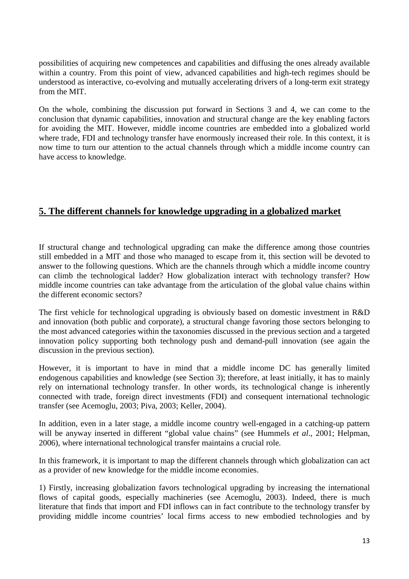possibilities of acquiring new competences and capabilities and diffusing the ones already available within a country. From this point of view, advanced capabilities and high-tech regimes should be understood as interactive, co-evolving and mutually accelerating drivers of a long-term exit strategy from the MIT.

On the whole, combining the discussion put forward in Sections 3 and 4, we can come to the conclusion that dynamic capabilities, innovation and structural change are the key enabling factors for avoiding the MIT. However, middle income countries are embedded into a globalized world where trade, FDI and technology transfer have enormously increased their role. In this context, it is now time to turn our attention to the actual channels through which a middle income country can have access to knowledge.

### **5. The different channels for knowledge upgrading in a globalized market**

If structural change and technological upgrading can make the difference among those countries still embedded in a MIT and those who managed to escape from it, this section will be devoted to answer to the following questions. Which are the channels through which a middle income country can climb the technological ladder? How globalization interact with technology transfer? How middle income countries can take advantage from the articulation of the global value chains within the different economic sectors?

The first vehicle for technological upgrading is obviously based on domestic investment in R&D and innovation (both public and corporate), a structural change favoring those sectors belonging to the most advanced categories within the taxonomies discussed in the previous section and a targeted innovation policy supporting both technology push and demand-pull innovation (see again the discussion in the previous section).

However, it is important to have in mind that a middle income DC has generally limited endogenous capabilities and knowledge (see Section 3); therefore, at least initially, it has to mainly rely on international technology transfer. In other words, its technological change is inherently connected with trade, foreign direct investments (FDI) and consequent international technologic transfer (see Acemoglu, 2003; Piva, 2003; Keller, 2004).

In addition, even in a later stage, a middle income country well-engaged in a catching-up pattern will be anyway inserted in different "global value chains" (see Hummels *et al*., 2001; Helpman, 2006), where international technological transfer maintains a crucial role.

In this framework, it is important to map the different channels through which globalization can act as a provider of new knowledge for the middle income economies.

1) Firstly, increasing globalization favors technological upgrading by increasing the international flows of capital goods, especially machineries (see Acemoglu, 2003). Indeed, there is much literature that finds that import and FDI inflows can in fact contribute to the technology transfer by providing middle income countries' local firms access to new embodied technologies and by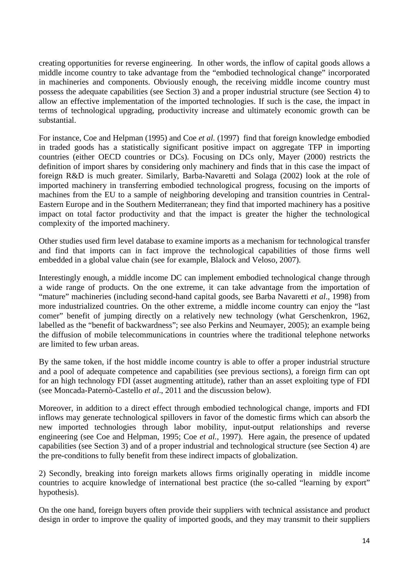creating opportunities for reverse engineering. In other words, the inflow of capital goods allows a middle income country to take advantage from the "embodied technological change" incorporated in machineries and components. Obviously enough, the receiving middle income country must possess the adequate capabilities (see Section 3) and a proper industrial structure (see Section 4) to allow an effective implementation of the imported technologies. If such is the case, the impact in terms of technological upgrading, productivity increase and ultimately economic growth can be substantial.

For instance, Coe and Helpman (1995) and Coe *et al.* (1997) find that foreign knowledge embodied in traded goods has a statistically significant positive impact on aggregate TFP in importing countries (either OECD countries or DCs). Focusing on DCs only, Mayer (2000) restricts the definition of import shares by considering only machinery and finds that in this case the impact of foreign R&D is much greater. Similarly, Barba-Navaretti and Solaga (2002) look at the role of imported machinery in transferring embodied technological progress, focusing on the imports of machines from the EU to a sample of neighboring developing and transition countries in Central-Eastern Europe and in the Southern Mediterranean; they find that imported machinery has a positive impact on total factor productivity and that the impact is greater the higher the technological complexity of the imported machinery.

Other studies used firm level database to examine imports as a mechanism for technological transfer and find that imports can in fact improve the technological capabilities of those firms well embedded in a global value chain (see for example, Blalock and Veloso, 2007).

Interestingly enough, a middle income DC can implement embodied technological change through a wide range of products. On the one extreme, it can take advantage from the importation of "mature" machineries (including second-hand capital goods, see Barba Navaretti *et al*., 1998) from more industrialized countries. On the other extreme, a middle income country can enjoy the "last comer" benefit of jumping directly on a relatively new technology (what Gerschenkron, 1962, labelled as the "benefit of backwardness"; see also Perkins and Neumayer, 2005); an example being the diffusion of mobile telecommunications in countries where the traditional telephone networks are limited to few urban areas.

By the same token, if the host middle income country is able to offer a proper industrial structure and a pool of adequate competence and capabilities (see previous sections), a foreign firm can opt for an high technology FDI (asset augmenting attitude), rather than an asset exploiting type of FDI (see Moncada-Paternò-Castello *et al*., 2011 and the discussion below).

Moreover, in addition to a direct effect through embodied technological change, imports and FDI inflows may generate technological spillovers in favor of the domestic firms which can absorb the new imported technologies through labor mobility, input-output relationships and reverse engineering (see Coe and Helpman, 1995; Coe *et al.,* 1997). Here again, the presence of updated capabilities (see Section 3) and of a proper industrial and technological structure (see Section 4) are the pre-conditions to fully benefit from these indirect impacts of globalization.

2) Secondly, breaking into foreign markets allows firms originally operating in middle income countries to acquire knowledge of international best practice (the so-called "learning by export" hypothesis).

On the one hand, foreign buyers often provide their suppliers with technical assistance and product design in order to improve the quality of imported goods, and they may transmit to their suppliers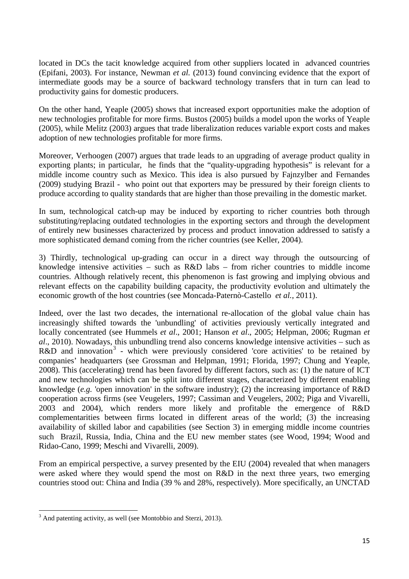located in DCs the tacit knowledge acquired from other suppliers located in advanced countries (Epifani, 2003). For instance, Newman *et al.* (2013) found convincing evidence that the export of intermediate goods may be a source of backward technology transfers that in turn can lead to productivity gains for domestic producers.

On the other hand, Yeaple (2005) shows that increased export opportunities make the adoption of new technologies profitable for more firms. Bustos (2005) builds a model upon the works of Yeaple (2005), while Melitz (2003) argues that trade liberalization reduces variable export costs and makes adoption of new technologies profitable for more firms.

Moreover, Verhoogen (2007) argues that trade leads to an upgrading of average product quality in exporting plants; in particular, he finds that the "quality-upgrading hypothesis" is relevant for a middle income country such as Mexico. This idea is also pursued by Fajnzylber and Fernandes (2009) studying Brazil - who point out that exporters may be pressured by their foreign clients to produce according to quality standards that are higher than those prevailing in the domestic market.

In sum, technological catch-up may be induced by exporting to richer countries both through substituting/replacing outdated technologies in the exporting sectors and through the development of entirely new businesses characterized by process and product innovation addressed to satisfy a more sophisticated demand coming from the richer countries (see Keller, 2004).

3) Thirdly, technological up-grading can occur in a direct way through the outsourcing of knowledge intensive activities – such as R&D labs – from richer countries to middle income countries. Although relatively recent, this phenomenon is fast growing and implying obvious and relevant effects on the capability building capacity, the productivity evolution and ultimately the economic growth of the host countries (see Moncada-Paternò-Castello *et al.*, 2011).

Indeed, over the last two decades, the international re-allocation of the global value chain has increasingly shifted towards the 'unbundling' of activities previously vertically integrated and locally concentrated (see Hummels *et al*., 2001; Hanson *et al*., 2005; Helpman, 2006; Rugman *et al*., 2010). Nowadays, this unbundling trend also concerns knowledge intensive activities – such as R&D and innovation<sup>[3](#page-7-1)</sup> - which were previously considered 'core activities' to be retained by companies' headquarters (see Grossman and Helpman, 1991; Florida, 1997; Chung and Yeaple, 2008). This (accelerating) trend has been favored by different factors, such as: (1) the nature of ICT and new technologies which can be split into different stages, characterized by different enabling knowledge (*e.g.* 'open innovation' in the software industry); (2) the increasing importance of R&D cooperation across firms (see Veugelers, 1997; Cassiman and Veugelers, 2002; Piga and Vivarelli, 2003 and 2004), which renders more likely and profitable the emergence of R&D complementarities between firms located in different areas of the world; (3) the increasing availability of skilled labor and capabilities (see Section 3) in emerging middle income countries such Brazil, Russia, India, China and the EU new member states (see Wood, 1994; Wood and Ridao-Cano, 1999; Meschi and Vivarelli, 2009).

<span id="page-16-0"></span>From an empirical perspective, a survey presented by the EIU (2004) revealed that when managers were asked where they would spend the most on R&D in the next three years, two emerging countries stood out: China and India (39 % and 28%, respectively). More specifically, an UNCTAD

<sup>&</sup>lt;sup>3</sup> And patenting activity, as well (see Montobbio and Sterzi, 2013).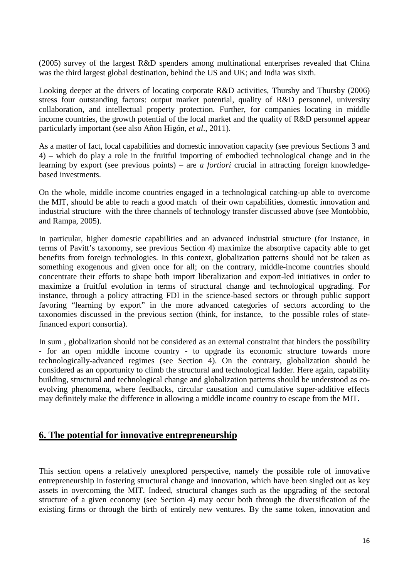(2005) survey of the largest R&D spenders among multinational enterprises revealed that China was the third largest global destination, behind the US and UK; and India was sixth.

Looking deeper at the drivers of locating corporate R&D activities, Thursby and Thursby (2006) stress four outstanding factors: output market potential, quality of R&D personnel, university collaboration, and intellectual property protection. Further, for companies locating in middle income countries, the growth potential of the local market and the quality of R&D personnel appear particularly important (see also Añon Higón, *et al*., 2011).

As a matter of fact, local capabilities and domestic innovation capacity (see previous Sections 3 and 4) – which do play a role in the fruitful importing of embodied technological change and in the learning by export (see previous points) – are *a fortiori* crucial in attracting foreign knowledgebased investments.

On the whole, middle income countries engaged in a technological catching-up able to overcome the MIT, should be able to reach a good match of their own capabilities, domestic innovation and industrial structure with the three channels of technology transfer discussed above (see Montobbio, and Rampa, 2005).

In particular, higher domestic capabilities and an advanced industrial structure (for instance, in terms of Pavitt's taxonomy, see previous Section 4) maximize the absorptive capacity able to get benefits from foreign technologies. In this context, globalization patterns should not be taken as something exogenous and given once for all; on the contrary, middle-income countries should concentrate their efforts to shape both import liberalization and export-led initiatives in order to maximize a fruitful evolution in terms of structural change and technological upgrading. For instance, through a policy attracting FDI in the science-based sectors or through public support favoring "learning by export" in the more advanced categories of sectors according to the taxonomies discussed in the previous section (think, for instance, to the possible roles of statefinanced export consortia).

In sum , globalization should not be considered as an external constraint that hinders the possibility - for an open middle income country - to upgrade its economic structure towards more technologically-advanced regimes (see Section 4). On the contrary, globalization should be considered as an opportunity to climb the structural and technological ladder. Here again, capability building, structural and technological change and globalization patterns should be understood as coevolving phenomena, where feedbacks, circular causation and cumulative super-additive effects may definitely make the difference in allowing a middle income country to escape from the MIT.

#### **6. The potential for innovative entrepreneurship**

This section opens a relatively unexplored perspective, namely the possible role of innovative entrepreneurship in fostering structural change and innovation, which have been singled out as key assets in overcoming the MIT. Indeed, structural changes such as the upgrading of the sectoral structure of a given economy (see Section 4) may occur both through the diversification of the existing firms or through the birth of entirely new ventures. By the same token, innovation and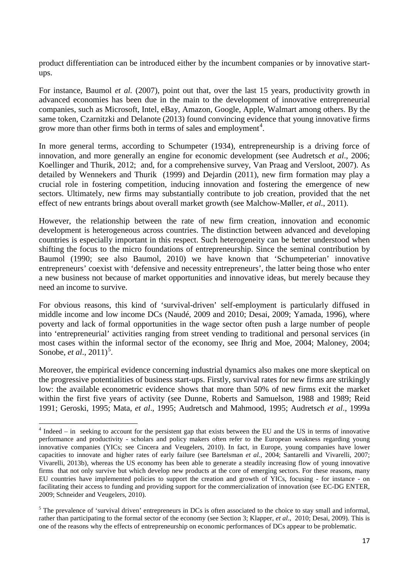product differentiation can be introduced either by the incumbent companies or by innovative startups.

For instance, Baumol *et al.* (2007), point out that, over the last 15 years, productivity growth in advanced economies has been due in the main to the development of innovative entrepreneurial companies, such as Microsoft, Intel, eBay, Amazon, Google, Apple, Walmart among others. By the same token, Czarnitzki and Delanote (2013) found convincing evidence that young innovative firms grow more than other firms both in terms of sales and employment<sup>[4](#page-16-0)</sup>.

In more general terms, according to Schumpeter (1934), entrepreneurship is a driving force of innovation, and more generally an engine for economic development (see Audretsch *et al*., 2006; Koellinger and Thurik, 2012; and, for a comprehensive survey, Van Praag and Versloot, 2007). As detailed by Wennekers and Thurik (1999) and Dejardin (2011), new firm formation may play a crucial role in fostering competition, inducing innovation and fostering the emergence of new sectors. Ultimately, new firms may substantially contribute to job creation, provided that the net effect of new entrants brings about overall market growth (see Malchow-Møller, *et al*., 2011).

However, the relationship between the rate of new firm creation, innovation and economic development is heterogeneous across countries. The distinction between advanced and developing countries is especially important in this respect. Such heterogeneity can be better understood when shifting the focus to the micro foundations of entrepreneurship. Since the seminal contribution by Baumol (1990; see also Baumol, 2010) we have known that 'Schumpeterian' innovative entrepreneurs' coexist with 'defensive and necessity entrepreneurs', the latter being those who enter a new business not because of market opportunities and innovative ideas, but merely because they need an income to survive.

For obvious reasons, this kind of 'survival-driven' self-employment is particularly diffused in middle income and low income DCs (Naudé, 2009 and 2010; Desai, 2009; Yamada, 1996), where poverty and lack of formal opportunities in the wage sector often push a large number of people into 'entrepreneurial' activities ranging from street vending to traditional and personal services (in most cases within the informal sector of the economy, see Ihrig and Moe, 2004; Maloney, 2004; Sonobe, *et al.*, 2011)<sup>[5](#page-18-0)</sup>.

Moreover, the empirical evidence concerning industrial dynamics also makes one more skeptical on the progressive potentialities of business start-ups. Firstly, survival rates for new firms are strikingly low: the available econometric evidence shows that more than 50% of new firms exit the market within the first five years of activity (see Dunne, Roberts and Samuelson, 1988 and 1989; Reid 1991; Geroski, 1995; Mata, *et al*., 1995; Audretsch and Mahmood, 1995; Audretsch *et al*., 1999a

<sup>4</sup> Indeed – in seeking to account for the persistent gap that exists between the EU and the US in terms of innovative performance and productivity - scholars and policy makers often refer to the European weakness regarding young innovative companies (YICs; see Cincera and Veugelers, 2010). In fact, in Europe, young companies have lower capacities to innovate and higher rates of early failure (see Bartelsman *et al.*, 2004; Santarelli and Vivarelli, 2007; Vivarelli, 2013b), whereas the US economy has been able to generate a steadily increasing flow of young innovative firms that not only survive but which develop new products at the core of emerging sectors. For these reasons, many EU countries have implemented policies to support the creation and growth of YICs, focusing - for instance - on facilitating their access to funding and providing support for the commercialization of innovation (see EC-DG ENTER, 2009; Schneider and Veugelers, 2010).

<span id="page-18-0"></span><sup>&</sup>lt;sup>5</sup> The prevalence of 'survival driven' entrepreneurs in DCs is often associated to the choice to stay small and informal, rather than participating to the formal sector of the economy (see Section 3; Klapper, *et al*., 2010; Desai, 2009). This is one of the reasons why the effects of entrepreneurship on economic performances of DCs appear to be problematic.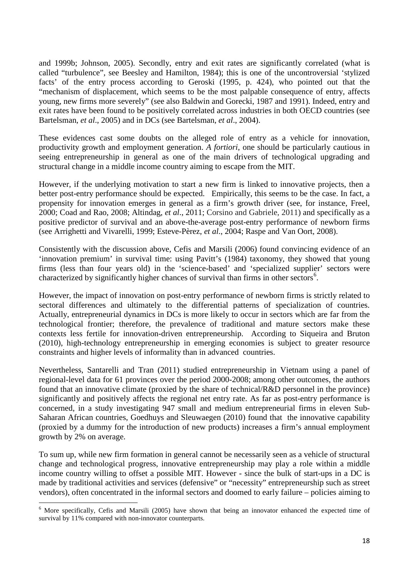and 1999b; Johnson, 2005). Secondly, entry and exit rates are significantly correlated (what is called "turbulence", see Beesley and Hamilton, 1984); this is one of the uncontroversial 'stylized facts' of the entry process according to Geroski (1995, p. 424), who pointed out that the "mechanism of displacement, which seems to be the most palpable consequence of entry, affects young, new firms more severely" (see also Baldwin and Gorecki, 1987 and 1991). Indeed, entry and exit rates have been found to be positively correlated across industries in both OECD countries (see Bartelsman, *et al*., 2005) and in DCs (see Bartelsman, *et al*., 2004).

These evidences cast some doubts on the alleged role of entry as a vehicle for innovation, productivity growth and employment generation. *A fortiori*, one should be particularly cautious in seeing entrepreneurship in general as one of the main drivers of technological upgrading and structural change in a middle income country aiming to escape from the MIT.

However, if the underlying motivation to start a new firm is linked to innovative projects, then a better post-entry performance should be expected. Empirically, this seems to be the case. In fact, a propensity for innovation emerges in general as a firm's growth driver (see, for instance, Freel, 2000; Coad and Rao, 2008; Altindag, *et al*., 2011; Corsino and Gabriele, 2011) and specifically as a positive predictor of survival and an above-the-average post-entry performance of newborn firms (see Arrighetti and Vivarelli, 1999; Esteve-Pèrez, *et al*., 2004; Raspe and Van Oort, 2008).

Consistently with the discussion above, Cefis and Marsili (2006) found convincing evidence of an 'innovation premium' in survival time: using Pavitt's (1984) taxonomy, they showed that young firms (less than four years old) in the 'science-based' and 'specialized supplier' sectors were characterized by significantly higher chances of survival than firms in other sectors<sup>[6](#page-18-0)</sup>.

However, the impact of innovation on post-entry performance of newborn firms is strictly related to sectoral differences and ultimately to the differential patterns of specialization of countries. Actually, entrepreneurial dynamics in DCs is more likely to occur in sectors which are far from the technological frontier; therefore, the prevalence of traditional and mature sectors make these contexts less fertile for innovation-driven entrepreneurship. According to Siqueira and Bruton (2010), high-technology entrepreneurship in emerging economies is subject to greater resource constraints and higher levels of informality than in advanced countries.

Nevertheless, Santarelli and Tran (2011) studied entrepreneurship in Vietnam using a panel of regional-level data for 61 provinces over the period 2000-2008; among other outcomes, the authors found that an innovative climate (proxied by the share of technical/R&D personnel in the province) significantly and positively affects the regional net entry rate. As far as post-entry performance is concerned, in a study investigating 947 small and medium entrepreneurial firms in eleven Sub-Saharan African countries, Goedhuys and Sleuwaegen (2010) found that the innovative capability (proxied by a dummy for the introduction of new products) increases a firm's annual employment growth by 2% on average.

To sum up, while new firm formation in general cannot be necessarily seen as a vehicle of structural change and technological progress, innovative entrepreneurship may play a role within a middle income country willing to offset a possible MIT. However - since the bulk of start-ups in a DC is made by traditional activities and services (defensive" or "necessity" entrepreneurship such as street vendors), often concentrated in the informal sectors and doomed to early failure – policies aiming to

<span id="page-19-0"></span><sup>6</sup> More specifically, Cefis and Marsili (2005) have shown that being an innovator enhanced the expected time of survival by 11% compared with non-innovator counterparts.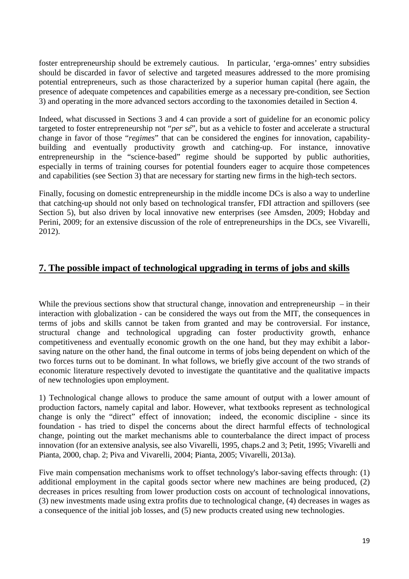foster entrepreneurship should be extremely cautious. In particular, 'erga-omnes' entry subsidies should be discarded in favor of selective and targeted measures addressed to the more promising potential entrepreneurs, such as those characterized by a superior human capital (here again, the presence of adequate competences and capabilities emerge as a necessary pre-condition, see Section 3) and operating in the more advanced sectors according to the taxonomies detailed in Section 4.

Indeed, what discussed in Sections 3 and 4 can provide a sort of guideline for an economic policy targeted to foster entrepreneurship not "*per sé*", but as a vehicle to foster and accelerate a structural change in favor of those "*regimes*" that can be considered the engines for innovation, capabilitybuilding and eventually productivity growth and catching-up. For instance, innovative entrepreneurship in the "science-based" regime should be supported by public authorities, especially in terms of training courses for potential founders eager to acquire those competences and capabilities (see Section 3) that are necessary for starting new firms in the high-tech sectors.

Finally, focusing on domestic entrepreneurship in the middle income DCs is also a way to underline that catching-up should not only based on technological transfer, FDI attraction and spillovers (see Section 5), but also driven by local innovative new enterprises (see Amsden, 2009; Hobday and Perini, 2009; for an extensive discussion of the role of entrepreneurships in the DCs, see Vivarelli, 2012).

#### **7. The possible impact of technological upgrading in terms of jobs and skills**

While the previous sections show that structural change, innovation and entrepreneurship  $-$  in their interaction with globalization - can be considered the ways out from the MIT, the consequences in terms of jobs and skills cannot be taken from granted and may be controversial. For instance, structural change and technological upgrading can foster productivity growth, enhance competitiveness and eventually economic growth on the one hand, but they may exhibit a laborsaving nature on the other hand, the final outcome in terms of jobs being dependent on which of the two forces turns out to be dominant. In what follows, we briefly give account of the two strands of economic literature respectively devoted to investigate the quantitative and the qualitative impacts of new technologies upon employment.

1) Technological change allows to produce the same amount of output with a lower amount of production factors, namely capital and labor. However, what textbooks represent as technological change is only the "direct" effect of innovation; indeed, the economic discipline - since its foundation - has tried to dispel the concerns about the direct harmful effects of technological change, pointing out the market mechanisms able to counterbalance the direct impact of process innovation (for an extensive analysis, see also Vivarelli, 1995, chaps.2 and 3; Petit, 1995; Vivarelli and Pianta, 2000, chap. 2; Piva and Vivarelli, 2004; Pianta, 2005; Vivarelli, 2013a).

Five main compensation mechanisms work to offset technology's labor-saving effects through: (1) additional employment in the capital goods sector where new machines are being produced, (2) decreases in prices resulting from lower production costs on account of technological innovations, (3) new investments made using extra profits due to technological change, (4) decreases in wages as a consequence of the initial job losses, and (5) new products created using new technologies.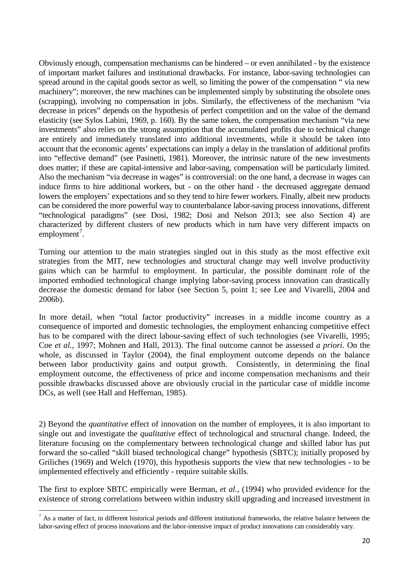Obviously enough, compensation mechanisms can be hindered – or even annihilated - by the existence of important market failures and institutional drawbacks. For instance, labor-saving technologies can spread around in the capital goods sector as well, so limiting the power of the compensation " via new machinery"; moreover, the new machines can be implemented simply by substituting the obsolete ones (scrapping), involving no compensation in jobs. Similarly, the effectiveness of the mechanism "via decrease in prices" depends on the hypothesis of perfect competition and on the value of the demand elasticity (see Sylos Labini, 1969, p. 160). By the same token, the compensation mechanism "via new investments" also relies on the strong assumption that the accumulated profits due to technical change are entirely and immediately translated into additional investments, while it should be taken into account that the economic agents' expectations can imply a delay in the translation of additional profits into "effective demand" (see Pasinetti, 1981). Moreover, the intrinsic nature of the new investments does matter; if these are capital-intensive and labor-saving, compensation will be particularly limited. Also the mechanism "via decrease in wages" is controversial: on the one hand, a decrease in wages can induce firms to hire additional workers, but - on the other hand - the decreased aggregate demand lowers the employers' expectations and so they tend to hire fewer workers. Finally, albeit new products can be considered the more powerful way to counterbalance labor-saving process innovations, different "technological paradigms" (see Dosi, 1982; Dosi and Nelson 2013; see also Section 4) are characterized by different clusters of new products which in turn have very different impacts on  $employment<sup>7</sup>$  $employment<sup>7</sup>$  $employment<sup>7</sup>$ .

Turning our attention to the main strategies singled out in this study as the most effective exit strategies from the MIT, new technologies and structural change may well involve productivity gains which can be harmful to employment. In particular, the possible dominant role of the imported embodied technological change implying labor-saving process innovation can drastically decrease the domestic demand for labor (see Section 5, point 1; see Lee and Vivarelli, 2004 and 2006b).

In more detail, when "total factor productivity" increases in a middle income country as a consequence of imported and domestic technologies, the employment enhancing competitive effect has to be compared with the direct labour-saving effect of such technologies (see Vivarelli, 1995; Coe *et al.*, 1997; Mohnen and Hall, 2013). The final outcome cannot be assessed *a priori*. On the whole, as discussed in Taylor (2004), the final employment outcome depends on the balance between labor productivity gains and output growth. Consistently, in determining the final employment outcome, the effectiveness of price and income compensation mechanisms and their possible drawbacks discussed above are obviously crucial in the particular case of middle income DCs, as well (see Hall and Heffernan, 1985).

2) Beyond the *quantitative* effect of innovation on the number of employees, it is also important to single out and investigate the *qualitative* effect of technological and structural change. Indeed, the literature focusing on the complementary between technological change and skilled labor has put forward the so-called "skill biased technological change" hypothesis (SBTC); initially proposed by Griliches (1969) and Welch (1970), this hypothesis supports the view that new technologies - to be implemented effectively and efficiently - require suitable skills.

The first to explore SBTC empirically were Berman, *et al*., (1994) who provided evidence for the existence of strong correlations between within industry skill upgrading and increased investment in

<span id="page-21-0"></span> $<sup>7</sup>$  As a matter of fact, in different historical periods and different institutional frameworks, the relative balance between the</sup> labor-saving effect of process innovations and the labor-intensive impact of product innovations can considerably vary.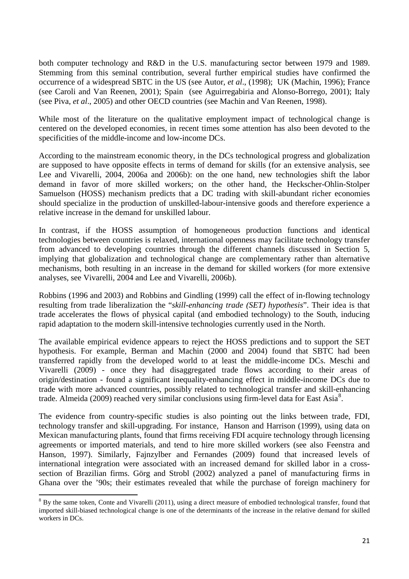both computer technology and R&D in the U.S. manufacturing sector between 1979 and 1989. Stemming from this seminal contribution, several further empirical studies have confirmed the occurrence of a widespread SBTC in the US (see Autor, *et al*., (1998); UK (Machin, 1996); France (see Caroli and Van Reenen, 2001); Spain (see Aguirregabiria and Alonso-Borrego, 2001); Italy (see Piva, *et al*., 2005) and other OECD countries (see Machin and Van Reenen, 1998).

While most of the literature on the qualitative employment impact of technological change is centered on the developed economies, in recent times some attention has also been devoted to the specificities of the middle-income and low-income DCs.

According to the mainstream economic theory, in the DCs technological progress and globalization are supposed to have opposite effects in terms of demand for skills (for an extensive analysis, see Lee and Vivarelli, 2004, 2006a and 2006b): on the one hand, new technologies shift the labor demand in favor of more skilled workers; on the other hand, the Heckscher-Ohlin-Stolper Samuelson (HOSS) mechanism predicts that a DC trading with skill-abundant richer economies should specialize in the production of unskilled-labour-intensive goods and therefore experience a relative increase in the demand for unskilled labour.

In contrast, if the HOSS assumption of homogeneous production functions and identical technologies between countries is relaxed, international openness may facilitate technology transfer from advanced to developing countries through the different channels discussed in Section 5, implying that globalization and technological change are complementary rather than alternative mechanisms, both resulting in an increase in the demand for skilled workers (for more extensive analyses, see Vivarelli, 2004 and Lee and Vivarelli, 2006b).

Robbins (1996 and 2003) and Robbins and Gindling (1999) call the effect of in-flowing technology resulting from trade liberalization the "*skill-enhancing trade (SET) hypothesis*". Their idea is that trade accelerates the flows of physical capital (and embodied technology) to the South, inducing rapid adaptation to the modern skill-intensive technologies currently used in the North.

The available empirical evidence appears to reject the HOSS predictions and to support the SET hypothesis. For example, Berman and Machin (2000 and 2004) found that SBTC had been transferred rapidly from the developed world to at least the middle-income DCs. Meschi and Vivarelli (2009) - once they had disaggregated trade flows according to their areas of origin/destination - found a significant inequality-enhancing effect in middle-income DCs due to trade with more advanced countries, possibly related to technological transfer and skill-enhancing trade. Almeida (2009) reached very similar conclusions using firm-level data for East Asia<sup>[8](#page-21-0)</sup>.

The evidence from country-specific studies is also pointing out the links between trade, FDI, technology transfer and skill-upgrading. For instance, Hanson and Harrison (1999), using data on Mexican manufacturing plants, found that firms receiving FDI acquire technology through licensing agreements or imported materials, and tend to hire more skilled workers (see also Feenstra and Hanson, 1997). Similarly, Fajnzylber and Fernandes (2009) found that increased levels of international integration were associated with an increased demand for skilled labor in a crosssection of Brazilian firms. Görg and Strobl (2002) analyzed a panel of manufacturing firms in Ghana over the '90s; their estimates revealed that while the purchase of foreign machinery for

<span id="page-22-0"></span><sup>&</sup>lt;sup>8</sup> By the same token, Conte and Vivarelli (2011), using a direct measure of embodied technological transfer, found that imported skill-biased technological change is one of the determinants of the increase in the relative demand for skilled workers in DCs.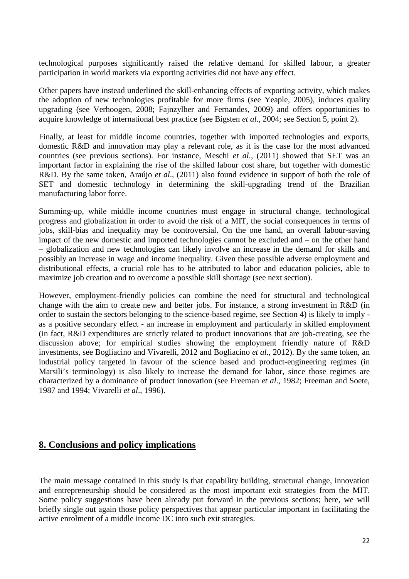technological purposes significantly raised the relative demand for skilled labour, a greater participation in world markets via exporting activities did not have any effect.

Other papers have instead underlined the skill-enhancing effects of exporting activity, which makes the adoption of new technologies profitable for more firms (see Yeaple, 2005), induces quality upgrading (see Verhoogen, 2008; Fajnzylber and Fernandes, 2009) and offers opportunities to acquire knowledge of international best practice (see Bigsten *et al*., 2004; see Section 5, point 2).

Finally, at least for middle income countries, together with imported technologies and exports, domestic R&D and innovation may play a relevant role, as it is the case for the most advanced countries (see previous sections). For instance, Meschi *et al*., (2011) showed that SET was an important factor in explaining the rise of the skilled labour cost share, but together with domestic R&D. By the same token, Araújo *et al*., (2011) also found evidence in support of both the role of SET and domestic technology in determining the skill-upgrading trend of the Brazilian manufacturing labor force.

Summing-up, while middle income countries must engage in structural change, technological progress and globalization in order to avoid the risk of a MIT, the social consequences in terms of jobs, skill-bias and inequality may be controversial. On the one hand, an overall labour-saving impact of the new domestic and imported technologies cannot be excluded and – on the other hand – globalization and new technologies can likely involve an increase in the demand for skills and possibly an increase in wage and income inequality. Given these possible adverse employment and distributional effects, a crucial role has to be attributed to labor and education policies, able to maximize job creation and to overcome a possible skill shortage (see next section).

However, employment-friendly policies can combine the need for structural and technological change with the aim to create new and better jobs. For instance, a strong investment in R&D (in order to sustain the sectors belonging to the science-based regime, see Section 4) is likely to imply as a positive secondary effect - an increase in employment and particularly in skilled employment (in fact, R&D expenditures are strictly related to product innovations that are job-creating, see the discussion above; for empirical studies showing the employment friendly nature of R&D investments, see Bogliacino and Vivarelli, 2012 and Bogliacino *et al*., 2012). By the same token, an industrial policy targeted in favour of the science based and product-engineering regimes (in Marsili's terminology) is also likely to increase the demand for labor, since those regimes are characterized by a dominance of product innovation (see Freeman *et al*., 1982; Freeman and Soete, 1987 and 1994; Vivarelli *et al*., 1996).

#### **8. Conclusions and policy implications**

The main message contained in this study is that capability building, structural change, innovation and entrepreneurship should be considered as the most important exit strategies from the MIT. Some policy suggestions have been already put forward in the previous sections; here, we will briefly single out again those policy perspectives that appear particular important in facilitating the active enrolment of a middle income DC into such exit strategies.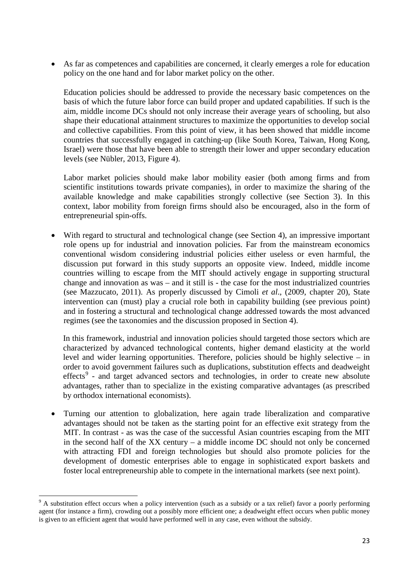• As far as competences and capabilities are concerned, it clearly emerges a role for education policy on the one hand and for labor market policy on the other.

Education policies should be addressed to provide the necessary basic competences on the basis of which the future labor force can build proper and updated capabilities. If such is the aim, middle income DCs should not only increase their average years of schooling, but also shape their educational attainment structures to maximize the opportunities to develop social and collective capabilities. From this point of view, it has been showed that middle income countries that successfully engaged in catching-up (like South Korea, Taiwan, Hong Kong, Israel) were those that have been able to strength their lower and upper secondary education levels (see Nübler, 2013, Figure 4).

Labor market policies should make labor mobility easier (both among firms and from scientific institutions towards private companies), in order to maximize the sharing of the available knowledge and make capabilities strongly collective (see Section 3). In this context, labor mobility from foreign firms should also be encouraged, also in the form of entrepreneurial spin-offs.

• With regard to structural and technological change (see Section 4), an impressive important role opens up for industrial and innovation policies. Far from the mainstream economics conventional wisdom considering industrial policies either useless or even harmful, the discussion put forward in this study supports an opposite view. Indeed, middle income countries willing to escape from the MIT should actively engage in supporting structural change and innovation as was – and it still is - the case for the most industrialized countries (see Mazzucato, 2011). As properly discussed by Cimoli *et al*., (2009, chapter 20), State intervention can (must) play a crucial role both in capability building (see previous point) and in fostering a structural and technological change addressed towards the most advanced regimes (see the taxonomies and the discussion proposed in Section 4).

In this framework, industrial and innovation policies should targeted those sectors which are characterized by advanced technological contents, higher demand elasticity at the world level and wider learning opportunities. Therefore, policies should be highly selective – in order to avoid government failures such as duplications, substitution effects and deadweight effects<sup>[9](#page-22-0)</sup> - and target advanced sectors and technologies, in order to create new absolute advantages, rather than to specialize in the existing comparative advantages (as prescribed by orthodox international economists).

• Turning our attention to globalization, here again trade liberalization and comparative advantages should not be taken as the starting point for an effective exit strategy from the MIT. In contrast - as was the case of the successful Asian countries escaping from the MIT in the second half of the XX century – a middle income DC should not only be concerned with attracting FDI and foreign technologies but should also promote policies for the development of domestic enterprises able to engage in sophisticated export baskets and foster local entrepreneurship able to compete in the international markets (see next point).

<span id="page-24-0"></span><sup>&</sup>lt;sup>9</sup> A substitution effect occurs when a policy intervention (such as a subsidy or a tax relief) favor a poorly performing agent (for instance a firm), crowding out a possibly more efficient one; a deadweight effect occurs when public money is given to an efficient agent that would have performed well in any case, even without the subsidy.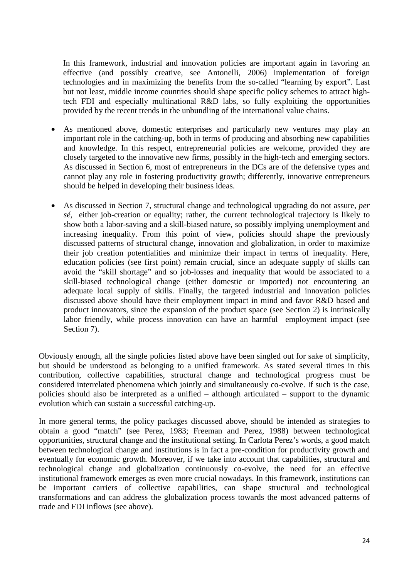In this framework, industrial and innovation policies are important again in favoring an effective (and possibly creative, see Antonelli, 2006) implementation of foreign technologies and in maximizing the benefits from the so-called "learning by export". Last but not least, middle income countries should shape specific policy schemes to attract hightech FDI and especially multinational R&D labs, so fully exploiting the opportunities provided by the recent trends in the unbundling of the international value chains.

- As mentioned above, domestic enterprises and particularly new ventures may play an important role in the catching-up, both in terms of producing and absorbing new capabilities and knowledge. In this respect, entrepreneurial policies are welcome, provided they are closely targeted to the innovative new firms, possibly in the high-tech and emerging sectors. As discussed in Section 6, most of entrepreneurs in the DCs are of the defensive types and cannot play any role in fostering productivity growth; differently, innovative entrepreneurs should be helped in developing their business ideas.
- As discussed in Section 7, structural change and technological upgrading do not assure, *per sé*, either job-creation or equality; rather, the current technological trajectory is likely to show both a labor-saving and a skill-biased nature, so possibly implying unemployment and increasing inequality. From this point of view, policies should shape the previously discussed patterns of structural change, innovation and globalization, in order to maximize their job creation potentialities and minimize their impact in terms of inequality. Here, education policies (see first point) remain crucial, since an adequate supply of skills can avoid the "skill shortage" and so job-losses and inequality that would be associated to a skill-biased technological change (either domestic or imported) not encountering an adequate local supply of skills. Finally, the targeted industrial and innovation policies discussed above should have their employment impact in mind and favor R&D based and product innovators, since the expansion of the product space (see Section 2) is intrinsically labor friendly, while process innovation can have an harmful employment impact (see Section 7).

Obviously enough, all the single policies listed above have been singled out for sake of simplicity, but should be understood as belonging to a unified framework. As stated several times in this contribution, collective capabilities, structural change and technological progress must be considered interrelated phenomena which jointly and simultaneously co-evolve. If such is the case, policies should also be interpreted as a unified – although articulated – support to the dynamic evolution which can sustain a successful catching-up.

In more general terms, the policy packages discussed above, should be intended as strategies to obtain a good "match" (see Perez, 1983; Freeman and Perez, 1988) between technological opportunities, structural change and the institutional setting. In Carlota Perez's words, a good match between technological change and institutions is in fact a pre-condition for productivity growth and eventually for economic growth. Moreover, if we take into account that capabilities, structural and technological change and globalization continuously co-evolve, the need for an effective institutional framework emerges as even more crucial nowadays. In this framework, institutions can be important carriers of collective capabilities, can shape structural and technological transformations and can address the globalization process towards the most advanced patterns of trade and FDI inflows (see above).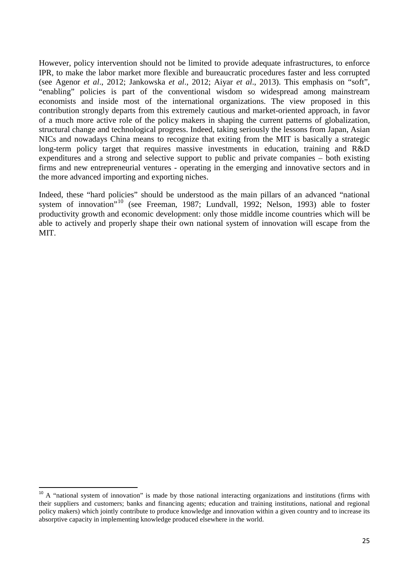However, policy intervention should not be limited to provide adequate infrastructures, to enforce IPR, to make the labor market more flexible and bureaucratic procedures faster and less corrupted (see Agenor *et al*., 2012; Jankowska *et al*., 2012; Aiyar *et al*., 2013). This emphasis on "soft", "enabling" policies is part of the conventional wisdom so widespread among mainstream economists and inside most of the international organizations. The view proposed in this contribution strongly departs from this extremely cautious and market-oriented approach, in favor of a much more active role of the policy makers in shaping the current patterns of globalization, structural change and technological progress. Indeed, taking seriously the lessons from Japan, Asian NICs and nowadays China means to recognize that exiting from the MIT is basically a strategic long-term policy target that requires massive investments in education, training and R&D expenditures and a strong and selective support to public and private companies – both existing firms and new entrepreneurial ventures - operating in the emerging and innovative sectors and in the more advanced importing and exporting niches.

Indeed, these "hard policies" should be understood as the main pillars of an advanced "national system of innovation"<sup>[10](#page-24-0)</sup> (see Freeman, 1987; Lundvall, 1992; Nelson, 1993) able to foster productivity growth and economic development: only those middle income countries which will be able to actively and properly shape their own national system of innovation will escape from the MIT.

 $10$  A "national system of innovation" is made by those national interacting organizations and institutions (firms with their suppliers and customers; banks and financing agents; education and training institutions, national and regional policy makers) which jointly contribute to produce knowledge and innovation within a given country and to increase its absorptive capacity in implementing knowledge produced elsewhere in the world.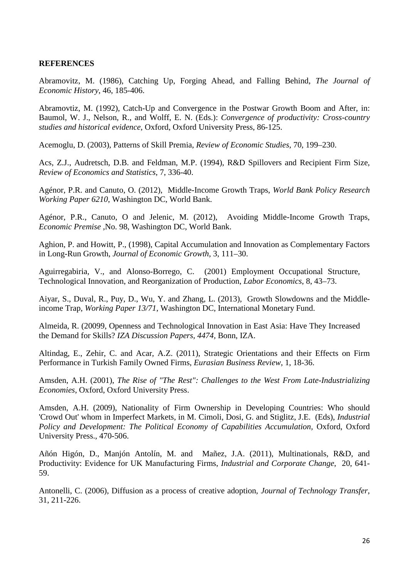#### **REFERENCES**

Abramovitz, M. (1986), Catching Up, Forging Ahead, and Falling Behind, *The Journal of Economic History*, 46, 185-406.

Abramovtiz, M. (1992), Catch-Up and Convergence in the Postwar Growth Boom and After, in: Baumol, W. J., Nelson, R., and Wolff, E. N. (Eds.): *Convergence of productivity: Cross-country studies and historical evidence*, Oxford, Oxford University Press, 86-125.

Acemoglu, D. (2003), Patterns of Skill Premia, *Review of Economic Studies*, 70, 199–230.

Acs, Z.J., Audretsch, D.B. and Feldman, M.P. (1994), R&D Spillovers and Recipient Firm Size, *Review of Economics and Statistics*, 7, 336-40.

Agénor, P.R. and Canuto, O. (2012), Middle-Income Growth Traps, *World Bank Policy Research Working Paper 6210*, Washington DC, World Bank.

Agénor, P.R., Canuto, O and Jelenic, M. (2012), Avoiding Middle-Income Growth Traps, *Economic Premise* ,No. 98, Washington DC, World Bank.

Aghion, P. and Howitt, P., (1998), Capital Accumulation and Innovation as Complementary Factors in Long-Run Growth, *Journal of Economic Growth*, 3, 111–30.

Aguirregabiria, V., and Alonso-Borrego, C. (2001) Employment Occupational Structure, Technological Innovation, and Reorganization of Production, *Labor Economics*, 8, 43–73.

Aiyar, S., Duval, R., Puy, D., Wu, Y. and Zhang, L. (2013), Growth Slowdowns and the Middleincome Trap, *Working Paper 13/71*, Washington DC, International Monetary Fund.

Almeida, R. (20099, Openness and Technological Innovation in East Asia: Have They Increased the Demand for Skills? *IZA Discussion Papers, 4474,* Bonn, IZA.

Altindag, E., Zehir, C. and Acar, A.Z. (2011), Strategic Orientations and their Effects on Firm Performance in Turkish Family Owned Firms, *Eurasian Business Review*, 1, 18-36.

Amsden, A.H. (2001), *The Rise of "The Rest": Challenges to the West From Late-Industrializing Economies*, Oxford, Oxford University Press.

Amsden, A.H. (2009), Nationality of Firm Ownership in Developing Countries: Who should 'Crowd Out' whom in Imperfect Markets, in M. Cimoli, Dosi, G. and Stiglitz, J.E. (Eds), *Industrial*  Policy and Development: The Political Economy of Capabilities Accumulation, Oxford, Oxford University Press., 470-506.

Añón Higón, D., Manjón Antolín, M. and Mañez, J.A. (2011), [Multinationals, R&D, and](http://ideas.repec.org/a/oup/indcch/v20y2011i2p641-659.html)  [Productivity: Evidence for UK Manufacturing Firms,](http://ideas.repec.org/a/oup/indcch/v20y2011i2p641-659.html) *[Industrial and Corporate Change](http://ideas.repec.org/s/oup/indcch.html)*, 20, 641- 59.

Antonelli, C. (2006), Diffusion as a process of creative adoption, *Journal of Technology Transfer*, 31, 211-226.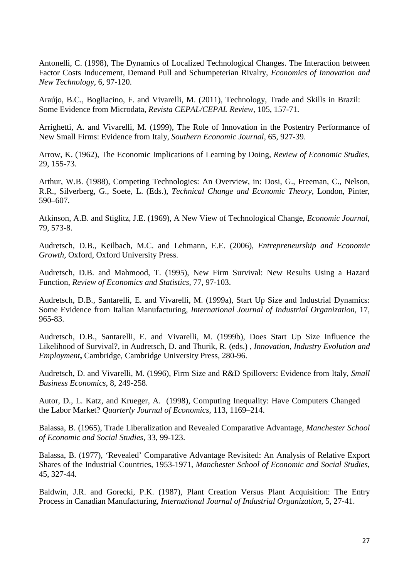Antonelli, C. (1998), The Dynamics of Localized Technological Changes. The Interaction between Factor Costs Inducement, Demand Pull and Schumpeterian Rivalry, *Economics of Innovation and New Technology*, 6, 97-120.

Araújo, B.C., Bogliacino, F. and Vivarelli, M. (2011), Technology, Trade and Skills in Brazil: Some Evidence from Microdata, *Revista CEPAL/CEPAL Review*, 105, 157-71.

Arrighetti, A. and Vivarelli, M. (1999), The Role of Innovation in the Postentry Performance of New Small Firms: Evidence from Italy, *Southern Economic Journal,* 65, 927-39.

Arrow, K. (1962), The Economic Implications of Learning by Doing, *Review of Economic Studies*, 29, 155-73.

Arthur, W.B. (1988), Competing Technologies: An Overview, in: Dosi, G., Freeman, C., Nelson, R.R., Silverberg, G., Soete, L. (Eds.), *Technical Change and Economic Theory*, London, Pinter, 590–607.

Atkinson, A.B. and Stiglitz, J.E. (1969), A New View of Technological Change, *Economic Journal*, 79, 573-8.

Audretsch, D.B., Keilbach, M.C. and Lehmann, E.E. (2006), *Entrepreneurship and Economic Growth,* Oxford, Oxford University Press.

Audretsch, D.B. and Mahmood, T. (1995), New Firm Survival: New Results Using a Hazard Function, *Review of Economics and Statistics,* 77, 97-103.

Audretsch, D.B., Santarelli, E. and Vivarelli, M. (1999a), Start Up Size and Industrial Dynamics: Some Evidence from Italian Manufacturing, *International Journal of Industrial Organization,* 17, 965-83.

Audretsch, D.B., Santarelli, E. and Vivarelli, M. (1999b), Does Start Up Size Influence the Likelihood of Survival?, in Audretsch, D. and Thurik, R. (eds.) , *Innovation, Industry Evolution and Employment***,** Cambridge, Cambridge University Press, 280-96.

Audretsch, D. and Vivarelli, M. (1996), Firm Size and R&D Spillovers: Evidence from Italy, *Small Business Economics*, 8, 249-258.

Autor, D., L. Katz, and Krueger, A. (1998), Computing Inequality: Have Computers Changed the Labor Market? *Quarterly Journal of Economics*, 113, 1169–214.

Balassa, B. (1965), Trade Liberalization and Revealed Comparative Advantage, *Manchester School of Economic and Social Studies*, 33, 99-123.

Balassa, B. (1977), 'Revealed' Comparative Advantage Revisited: An Analysis of Relative Export Shares of the Industrial Countries, 1953-1971, *Manchester School of Economic and Social Studies*, 45, 327-44.

Baldwin, J.R. and Gorecki, P.K. (1987), Plant Creation Versus Plant Acquisition: The Entry Process in Canadian Manufacturing, *International Journal of Industrial Organization,* 5, 27-41.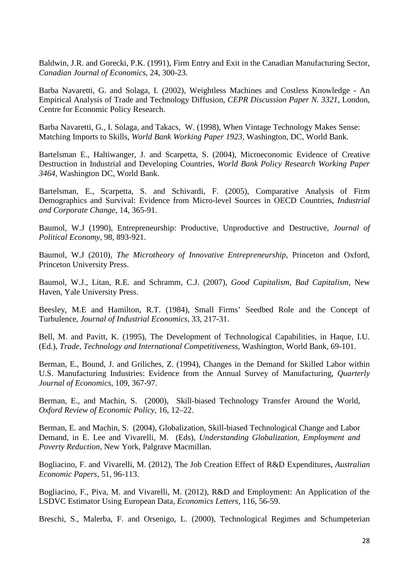Baldwin, J.R. and Gorecki, P.K. (1991), Firm Entry and Exit in the Canadian Manufacturing Sector, *Canadian Journal of Economics*, 24, 300-23.

Barba Navaretti, G. and Solaga, I. (2002), [Weightless Machines and Costless Knowledge -](http://ideas.repec.org/p/wbk/wbrwps/2598.html) An [Empirical Analysis of Trade and Technology Diffusion,](http://ideas.repec.org/p/wbk/wbrwps/2598.html) *CEPR Discussion Paper N. 3321*, London, Centre for Economic Policy Research.

Barba Navaretti, G., I. Solaga, and Takacs, W. (1998), When Vintage Technology Makes Sense: Matching Imports to Skills, *World Bank Working Paper 1923*, Washington, DC, World Bank.

Bartelsman E., Haltiwanger, J. and Scarpetta, S. (2004), Microeconomic Evidence of Creative Destruction in Industrial and Developing Countries, *World Bank Policy Research Working Paper 3464*, Washington DC, World Bank.

Bartelsman, E., Scarpetta, S. and Schivardi, F. (2005), Comparative Analysis of Firm Demographics and Survival: Evidence from Micro-level Sources in OECD Countries, *Industrial and Corporate Change,* 14, 365-91.

Baumol, W.J (1990), Entrepreneurship: Productive, Unproductive and Destructive, *Journal of Political Economy,* 98, 893-921.

Baumol, W.J (2010), *The Microtheory of Innovative Entrepreneurship*, Princeton and Oxford, Princeton University Press.

Baumol, W.J., Litan, R.E. and Schramm, C.J. (2007), *Good Capitalism, Bad Capitalism*, New Haven, Yale University Press.

Beesley, M.E and Hamilton, R.T. (1984), Small Firms' Seedbed Role and the Concept of Turbulence, *Journal of Industrial Economics,* 33, 217-31.

Bell, M. and Pavitt, K. (1995), The Development of Technological Capabilities, in Haque, I.U. (Ed.), *Trade, Technology and International Competitiveness*, Washington, World Bank, 69-101.

Berman, E., Bound, J. and Griliches, Z. (1994), Changes in the Demand for Skilled Labor within U.S. Manufacturing Industries: Evidence from the Annual Survey of Manufacturing, *Quarterly Journal of Economics*, 109, 367-97.

Berman, E., and Machin, S. (2000), Skill-biased Technology Transfer Around the World, *Oxford Review of Economic Policy*, 16, 12–22.

Berman, E. and Machin, S. (2004), Globalization, Skill-biased Technological Change and Labor Demand, in E. Lee and Vivarelli, M. (Eds), *Understanding Globalization, Employment and Poverty Reduction*, New York, Palgrave Macmillan.

Bogliacino, F. and Vivarelli, M. (2012), The Job Creation Effect of R&D Expenditures, *Australian Economic Papers*, 51, 96-113.

Bogliacino, F., Piva, M. and Vivarelli, M. (2012), R&D and Employment: An Application of the LSDVC Estimator Using European Data, *Economics Letters*, 116, 56-59.

Breschi, S., Malerba, F. and Orsenigo, L. (2000), Technological Regimes and Schumpeterian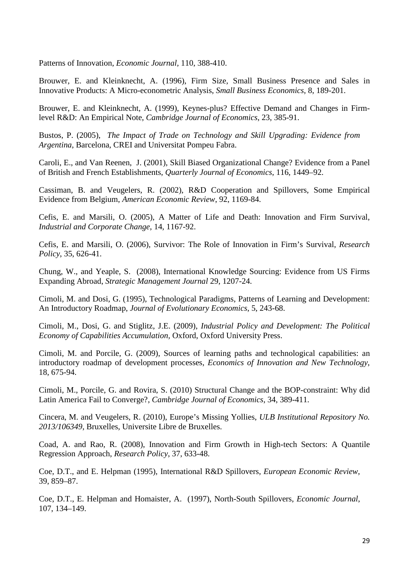Patterns of Innovation, *Economic Journal,* 110, 388-410.

Brouwer, E. and Kleinknecht, A. (1996), Firm Size, Small Business Presence and Sales in Innovative Products: A Micro-econometric Analysis, *Small Business Economics*, 8, 189-201.

Brouwer, E. and Kleinknecht, A. (1999), Keynes-plus? Effective Demand and Changes in Firmlevel R&D: An Empirical Note, *Cambridge Journal of Economics*, 23, 385-91.

Bustos, P. (2005), *The Impact of Trade on Technology and Skill Upgrading: Evidence from Argentina*, Barcelona, CREI and Universitat Pompeu Fabra.

Caroli, E., and Van Reenen, J. (2001), Skill Biased Organizational Change? Evidence from a Panel of British and French Establishments, *Quarterly Journal of Economics*, 116, 1449–92.

Cassiman, B. and Veugelers, R. (2002), R&D Cooperation and Spillovers, Some Empirical Evidence from Belgium, *American Economic Review*, 92, 1169-84.

Cefis, E. and Marsili, O. (2005), A Matter of Life and Death: Innovation and Firm Survival, *Industrial and Corporate Change*, 14, 1167-92.

Cefis, E. and Marsili, O. (2006), Survivor: The Role of Innovation in Firm's Survival, *Research Policy*, 35, 626-41.

Chung, W., and Yeaple, S. (2008), International Knowledge Sourcing: Evidence from US Firms Expanding Abroad, *Strategic Management Journal* 29, 1207-24.

Cimoli, M. and Dosi, G. (1995), [Technological Paradigms, Patterns of Learning and Development:](http://ideas.repec.org/a/spr/joevec/v5y1995i3p243-68.html)  [An Introductory Roadmap,](http://ideas.repec.org/a/spr/joevec/v5y1995i3p243-68.html) *[Journal of Evolutionary Economics](http://ideas.repec.org/s/spr/joevec.html)*, 5, 243-68.

Cimoli, M., Dosi, G. and Stiglitz, J.E. (2009), *Industrial Policy and Development: The Political Economy of Capabilities Accumulation,* Oxford, Oxford University Press.

Cimoli, M. and Porcile, G. (2009), [Sources of learning paths and technological capabilities: an](http://ideas.repec.org/a/taf/ecinnt/v18y2009i7p675-694.html)  [introductory roadmap of development processes,](http://ideas.repec.org/a/taf/ecinnt/v18y2009i7p675-694.html) *[Economics of Innovation and New Technology](http://ideas.repec.org/s/taf/ecinnt.html)*, 18, 675-94.

Cimoli, M., Porcile, G. and Rovira, S. (2010) [Structural Change and the BOP-constraint: Why did](http://ideas.repec.org/a/oup/cambje/v34y2010i2p389-411.html)  [Latin America Fail to Converge?,](http://ideas.repec.org/a/oup/cambje/v34y2010i2p389-411.html) *[Cambridge Journal of Economics](http://ideas.repec.org/s/oup/cambje.html)*, 34, 389-411.

Cincera, M. and Veugelers, R. (2010), Europe's Missing Yollies, *ULB Institutional Repository No. 2013/106349*, Bruxelles, Universite Libre de Bruxelles.

Coad, A. and Rao, R. (2008), Innovation and Firm Growth in High-tech Sectors: A Quantile Regression Approach, *Research Policy*, 37, 633-48.

Coe, D.T., and E. Helpman (1995), International R&D Spillovers, *European Economic Review*, 39, 859–87.

Coe, D.T., E. Helpman and Homaister, A. (1997), North-South Spillovers, *Economic Journal*, 107, 134–149.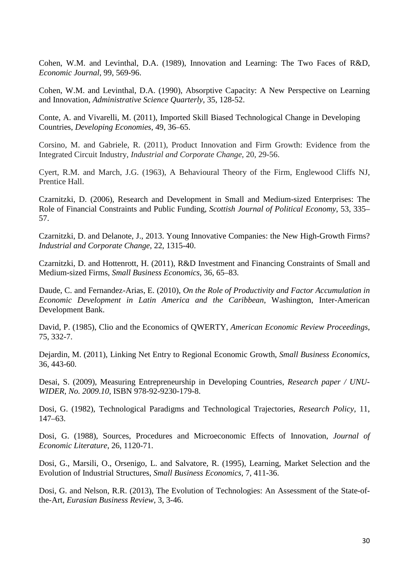Cohen, W.M. and Levinthal, D.A. (1989), Innovation and Learning: The Two Faces of R&D, *Economic Journal*, 99, 569-96.

Cohen, W.M. and Levinthal, D.A. (1990), Absorptive Capacity: A New Perspective on Learning and Innovation, *Administrative Science Quarterly*, 35, 128-52.

Conte, A. and Vivarelli, M. (2011), Imported Skill Biased Technological Change in Developing Countries, *Developing Economies*, 49, 36–65.

Corsino, M. and Gabriele, R. (2011), Product Innovation and Firm Growth: Evidence from the Integrated Circuit Industry, *Industrial and Corporate Change*, 20, 29-56.

Cyert, R.M. and March, J.G. (1963), A Behavioural Theory of the Firm, Englewood Cliffs NJ, Prentice Hall.

Czarnitzki, D. (2006), Research and Development in Small and Medium-sized Enterprises: The Role of Financial Constraints and Public Funding, *Scottish Journal of Political Economy*, 53, 335– 57.

Czarnitzki, D. and Delanote, J., 2013. Young Innovative Companies: the New High-Growth Firms? *Industrial and Corporate Change*, 22, 1315-40.

Czarnitzki, D. and Hottenrott, H. (2011), R&D Investment and Financing Constraints of Small and Medium-sized Firms, *Small Business Economics,* 36, 65–83.

Daude, C. and Fernandez-Arias, E. (2010), *On the Role of Productivity and Factor Accumulation in Economic Development in Latin America and the Caribbean*, Washington, Inter-American Development Bank.

David, P. (1985), Clio and the Economics of QWERTY, *American Economic Review Proceedings*, 75, 332-7.

Dejardin, M. (2011), Linking Net Entry to Regional Economic Growth, *Small Business Economics*, 36, 443-60.

Desai, S. (2009), Measuring Entrepreneurship in Developing Countries, *Research paper / UNU-WIDER, No. 2009.10*, ISBN 978-92-9230-179-8.

Dosi, G. (1982), Technological Paradigms and Technological Trajectories, *Research Policy*, 11, 147–63.

Dosi, G. (1988), Sources, Procedures and Microeconomic Effects of Innovation, *Journal of Economic Literature*, 26, 1120-71.

Dosi, G., Marsili, O., Orsenigo, L. and Salvatore, R. (1995), Learning, Market Selection and the Evolution of Industrial Structures, *Small Business Economics,* 7, 411-36.

Dosi, G. and Nelson, R.R. (2013), The Evolution of Technologies: An Assessment of the State-ofthe-Art, *Eurasian Business Review*, 3, 3-46.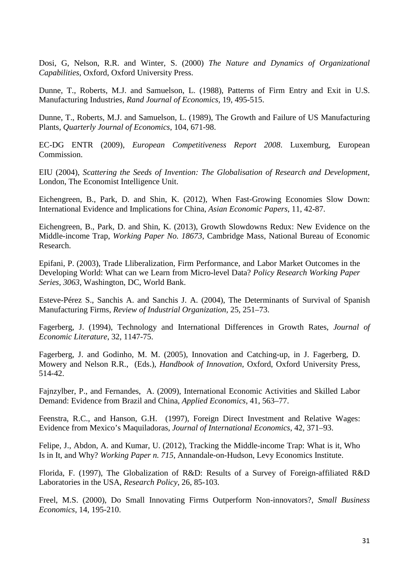Dosi, G, Nelson, R.R. and Winter, S. (2000) *The Nature and Dynamics of Organizational Capabilities*, Oxford, Oxford University Press.

Dunne, T., Roberts, M.J. and Samuelson, L. (1988), Patterns of Firm Entry and Exit in U.S. Manufacturing Industries, *Rand Journal of Economics,* 19, 495-515.

Dunne, T., Roberts, M.J. and Samuelson, L. (1989), The Growth and Failure of US Manufacturing Plants, *Quarterly Journal of Economics*, 104, 671-98.

EC-DG ENTR (2009), *European Competitiveness Report 2008*. Luxemburg, European Commission.

EIU (2004), *Scattering the Seeds of Invention: The Globalisation of Research and Development*, London, The Economist Intelligence Unit.

Eichengreen, B., Park, D. and Shin, K. (2012), When Fast-Growing Economies Slow Down: International Evidence and Implications for China, *Asian Economic Papers*, 11, 42-87.

Eichengreen, B., Park, D. and Shin, K. (2013), Growth Slowdowns Redux: New Evidence on the Middle-income Trap, *Working Paper No. 18673*, Cambridge Mass, National Bureau of Economic Research.

Epifani, P. (2003), Trade Lliberalization, Firm Performance, and Labor Market Outcomes in the Developing World: What can we Learn from Micro-level Data? *[Policy Research Working Paper](http://ideas.repec.org/s/wbk/wbrwps.html)  [Series,](http://ideas.repec.org/s/wbk/wbrwps.html) 3063*, Washington, DC, World Bank.

Esteve-Pérez S., Sanchis A. and Sanchis J. A. (2004), The Determinants of Survival of Spanish Manufacturing Firms, *Review of Industrial Organization,* 25, 251–73.

Fagerberg, J. (1994), Technology and International Differences in Growth Rates, *Journal of Economic Literature*, 32, 1147-75.

Fagerberg, J. and Godinho, M. M. (2005), Innovation and Catching-up, in J. Fagerberg, D. Mowery and Nelson R.R., (Eds.), *Handbook of Innovation*, Oxford, Oxford University Press, 514-42.

Fajnzylber, P., and Fernandes, A. (2009), International Economic Activities and Skilled Labor Demand: Evidence from Brazil and China, *Applied Economics*, 41, 563–77.

Feenstra, R.C., and Hanson, G.H. (1997), Foreign Direct Investment and Relative Wages: Evidence from Mexico's Maquiladoras, *Journal of International Economics*, 42, 371–93.

Felipe, J., Abdon, A. and Kumar, U. (2012), Tracking the Middle-income Trap: What is it, Who Is in It, and Why? *Working Paper n. 715*, Annandale-on-Hudson, Levy Economics Institute.

Florida, F. (1997), The Globalization of R&D: Results of a Survey of Foreign-affiliated R&D Laboratories in the USA, *Research Policy*, 26, 85-103.

Freel, M.S. (2000), Do Small Innovating Firms Outperform Non-innovators?, *Small Business Economics*, 14, 195-210.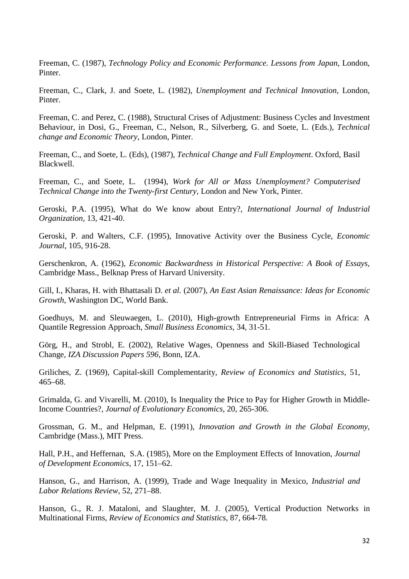Freeman, C. (1987), *Technology Policy and Economic Performance. Lessons from Japan*, London, Pinter.

Freeman, C., Clark, J. and Soete, L. (1982), *Unemployment and Technical Innovation*, London, Pinter.

Freeman, C. and Perez, C. (1988), Structural Crises of Adjustment: Business Cycles and Investment Behaviour, in Dosi, G., Freeman, C., Nelson, R., Silverberg, G. and Soete, L. (Eds.), *Technical change and Economic Theory*, London, Pinter.

Freeman, C., and Soete, L. (Eds), (1987), *Technical Change and Full Employment*. Oxford, Basil Blackwell.

Freeman, C., and Soete, L. (1994), *Work for All or Mass Unemployment? Computerised Technical Change into the Twenty-first Century*, London and New York, Pinter.

Geroski, P.A. (1995), What do We know about Entry?, *International Journal of Industrial Organization,* 13, 421-40.

Geroski, P. and Walters, C.F. (1995), Innovative Activity over the Business Cycle, *Economic Journal*, 105, 916-28.

Gerschenkron, A. (1962), *Economic Backwardness in Historical Perspective: A Book of Essays,* Cambridge Mass., Belknap Press of Harvard University.

Gill, I., Kharas, H. with Bhattasali D. *et al.* (2007), *An East Asian Renaissance: Ideas for Economic Growth*, Washington DC, World Bank.

Goedhuys, M. and Sleuwaegen, L. (2010), High-growth Entrepreneurial Firms in Africa: A Quantile Regression Approach, *Small Business Economics*, 34, 31-51.

Görg, H., and Strobl, E. (2002), Relative Wages, Openness and Skill-Biased Technological Change, *IZA Discussion Papers 596,* Bonn, IZA.

Griliches, Z. (1969), Capital-skill Complementarity, *Review of Economics and Statistics*, 51, 465–68.

Grimalda, G. and Vivarelli, M. (2010), Is Inequality the Price to Pay for Higher Growth in Middle-Income Countries?, *Journal of Evolutionary Economics*, 20, 265-306.

Grossman, G. M., and Helpman, E. (1991), *Innovation and Growth in the Global Economy*, Cambridge (Mass.), MIT Press.

Hall, P.H., and Heffernan, S.A. (1985), More on the Employment Effects of Innovation, *Journal of Development Economics*, 17, 151–62.

Hanson, G., and Harrison, A. (1999), Trade and Wage Inequality in Mexico, *Industrial and Labor Relations Review*, 52, 271–88.

Hanson, G., R. J. Mataloni, and Slaughter, M. J. (2005), Vertical Production Networks in Multinational Firms, *Review of Economics and Statistics*, 87, 664-78.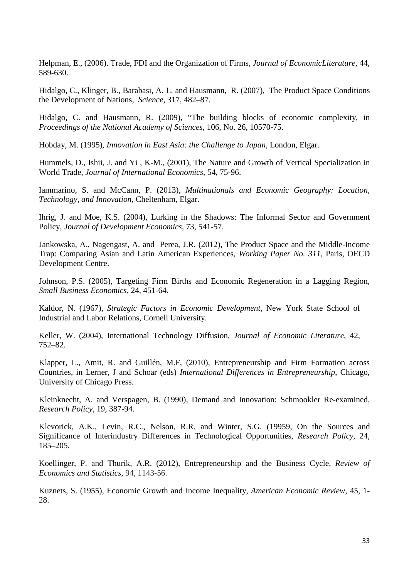Helpman, E., (2006). Trade, FDI and the Organization of Firms, *Journal of EconomicLiterature*, 44, 589-630.

Hidalgo, C., Klinger, B., Barabasi, A. L. and Hausmann, R. (2007), The Product Space Conditions the Development of Nations, *Science*, 317, 482–87.

Hidalgo, C. and Hausmann, R. (2009), "The building blocks of economic complexity, in *Proceedings of the National Academy of Sciences*, 106, No. 26, 10570-75.

Hobday, M. (1995), *Innovation in East Asia: the Challenge to Japan*, London, Elgar.

Hummels, D., Ishii, J. and Yi , K-M., (2001), The Nature and Growth of Vertical Specialization in World Trade, *Journal of International Economics*, 54, 75-96.

Iammarino, S. and McCann, P. (2013), *Multinationals and Economic Geography: Location, Technology, and Innovation*, Cheltenham, Elgar.

Ihrig, J. and Moe, K.S. (2004), Lurking in the Shadows: The Informal Sector and Government Policy, *Journal of Development Economics,* 73, 541-57.

Jankowska, A., Nagengast, A. and Perea, J.R. (2012), The Product Space and the Middle-Income Trap: Comparing Asian and Latin American Experiences, *Working Paper No. 311*, Paris, OECD Development Centre.

Johnson, P.S. (2005), Targeting Firm Births and Economic Regeneration in a Lagging Region, *Small Business Economics,* 24, 451-64.

Kaldor, N. (1967), *Strategic Factors in Economic Development*, New York State School of Industrial and Labor Relations, Cornell University.

Keller, W. (2004), International Technology Diffusion, *Journal of Economic Literature*, 42, 752–82.

Klapper, L., Amit, R. and Guillén, M.F, (2010), Entrepreneurship and Firm Formation across Countries, in Lerner, J and Schoar (eds) *International Differences in Entrepreneurship*, Chicago, University of Chicago Press.

Kleinknecht, A. and Verspagen, B. (1990), Demand and Innovation: Schmookler Re-examined, *Research Policy*, 19, 387-94.

Klevorick, A.K., Levin, R.C., Nelson, R.R. and Winter, S.G. (19959, On the Sources and Significance of Interindustry Differences in Technological Opportunities, *Research Policy*, 24, 185–205.

Koellinger, P. and Thurik, A.R. (2012), Entrepreneurship and the Business Cycle, *Review of Economics and Statistics*, 94, 1143-56.

Kuznets, S. (1955), Economic Growth and Income Inequality, *American Economic Review*, 45, 1- 28.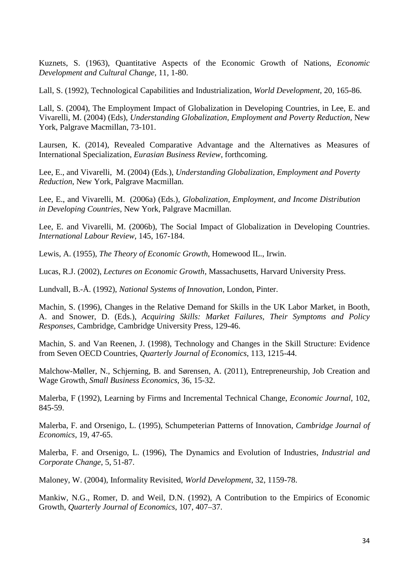Kuznets, S. (1963), Quantitative Aspects of the Economic Growth of Nations, *Economic Development and Cultural Change,* 11, 1-80.

Lall, S. (1992), Technological Capabilities and Industrialization, *World Development*, 20, 165-86.

Lall, S. (2004), The Employment Impact of Globalization in Developing Countries, in Lee, E. and Vivarelli, M. (2004) (Eds), *Understanding Globalization, Employment and Poverty Reduction,* New York, Palgrave Macmillan, 73-101.

Laursen, K. (2014), Revealed Comparative Advantage and the Alternatives as Measures of International Specialization, *Eurasian Business Review*, forthcoming.

Lee, E., and Vivarelli, M. (2004) (Eds.), *Understanding Globalization, Employment and Poverty Reduction*, New York, Palgrave Macmillan.

Lee, E., and Vivarelli, M. (2006a) (Eds.), *Globalization, Employment, and Income Distribution in Developing Countries*, New York, Palgrave Macmillan.

Lee, E. and Vivarelli, M. (2006b), The Social Impact of Globalization in Developing Countries. *International Labour Review*, 145, 167-184.

Lewis, A. (1955), *The Theory of Economic Growth*, Homewood IL., Irwin.

Lucas, R.J. (2002), *Lectures on Economic Growth*, Massachusetts, Harvard University Press.

Lundvall, B.-Å. (1992), *National Systems of Innovation*, London, Pinter.

Machin, S. (1996), Changes in the Relative Demand for Skills in the UK Labor Market, in Booth, A. and Snower, D. (Eds.), *Acquiring Skills: Market Failures, Their Symptoms and Policy Responses*, Cambridge, Cambridge University Press, 129-46.

Machin, S. and Van Reenen, J. (1998), Technology and Changes in the Skill Structure: Evidence from Seven OECD Countries, *Quarterly Journal of Economics*, 113, 1215-44.

Malchow-Møller, N., Schjerning, B. and Sørensen, A. (2011), Entrepreneurship, Job Creation and Wage Growth, *Small Business Economics*, 36, 15-32.

Malerba, F (1992), Learning by Firms and Incremental Technical Change, *Economic Journal*, 102, 845-59.

Malerba, F. and Orsenigo, L. (1995), Schumpeterian Patterns of Innovation, *Cambridge Journal of Economics*, 19, 47-65.

Malerba, F. and Orsenigo, L. (1996), The Dynamics and Evolution of Industries, *Industrial and Corporate Change*, 5, 51-87.

Maloney, W. (2004), Informality Revisited, *World Development*, 32, 1159-78.

Mankiw, N.G., Romer, D. and Weil, D.N. (1992), A Contribution to the Empirics of Economic Growth, *Quarterly Journal of Economics*, 107, 407–37.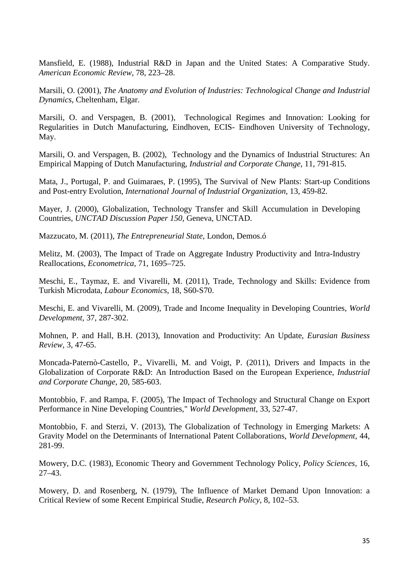Mansfield, E. (1988), Industrial R&D in Japan and the United States: A Comparative Study. *American Economic Review*, 78, 223–28.

Marsili, O. (2001), *The Anatomy and Evolution of Industries: Technological Change and Industrial Dynamics*, Cheltenham, Elgar.

Marsili, O. and Verspagen, B. (2001), Technological Regimes and Innovation: Looking for Regularities in Dutch Manufacturing, Eindhoven, ECIS- Eindhoven University of Technology, May.

Marsili, O. and Verspagen, B. (2002), Technology and the Dynamics of Industrial Structures: An Empirical Mapping of Dutch Manufacturing, *Industrial and Corporate Change*, 11, 791-815.

Mata, J., Portugal, P. and Guimaraes, P. (1995), The Survival of New Plants: Start-up Conditions and Post-entry Evolution, *International Journal of Industrial Organization,* 13, 459-82.

Mayer, J. (2000), Globalization, Technology Transfer and Skill Accumulation in Developing Countries, *UNCTAD Discussion Paper 150*, Geneva, UNCTAD.

Mazzucato, M. (2011), *The Entrepreneurial State*, London, Demos.ó

Melitz, M. (2003), The Impact of Trade on Aggregate Industry Productivity and Intra-Industry Reallocations, *Econometrica*, 71, 1695–725.

Meschi, E., Taymaz, E. and Vivarelli, M. (2011), Trade, Technology and Skills: Evidence from Turkish Microdata, *Labour Economics*, 18, S60-S70.

Meschi, E. and Vivarelli, M. (2009), Trade and Income Inequality in Developing Countries, *World Development*, 37, 287-302.

Mohnen, P. and Hall, B.H. (2013), Innovation and Productivity: An Update, *Eurasian Business Review*, 3, 47-65.

Moncada-Paternò-Castello, P., Vivarelli, M. and Voigt, P. (2011), Drivers and Impacts in the Globalization of Corporate R&D: An Introduction Based on the European Experience, *Industrial and Corporate Change*, 20, 585-603.

Montobbio, F. and Rampa, F. (2005), [The Impact of Technology and Structural Change on Export](http://ideas.repec.org/a/eee/wdevel/v33y2005i4p527-547.html)  [Performance in Nine Developing Countries,](http://ideas.repec.org/a/eee/wdevel/v33y2005i4p527-547.html)" *[World Development](http://ideas.repec.org/s/eee/wdevel.html)*, 33, 527-47.

Montobbio, F. and Sterzi, V. (2013), [The Globalization of Technology in Emerging Markets: A](http://ideas.repec.org/a/eee/wdevel/v44y2013icp281-299.html)  [Gravity Model on the Determinants of International Patent Collaborations,](http://ideas.repec.org/a/eee/wdevel/v44y2013icp281-299.html) *[World Development](http://ideas.repec.org/s/eee/wdevel.html)*, 44, 281-99.

Mowery, D.C. (1983), Economic Theory and Government Technology Policy, *Policy Sciences,* 16, 27–43.

Mowery, D. and Rosenberg, N. (1979), The Influence of Market Demand Upon Innovation: a Critical Review of some Recent Empirical Studie, *Research Policy*, 8, 102–53.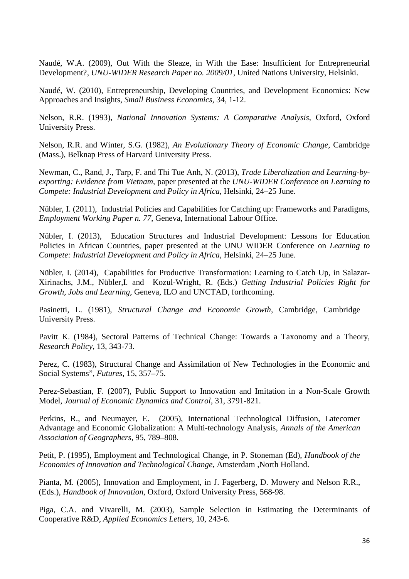Naudé, W.A. (2009), Out With the Sleaze, in With the Ease: Insufficient for Entrepreneurial Development?, *UNU-WIDER Research Paper no. 2009/01*, United Nations University, Helsinki.

Naudé, W. (2010), Entrepreneurship, Developing Countries, and Development Economics: New Approaches and Insights, *Small Business Economics*, 34, 1-12.

Nelson, R.R. (1993), *National Innovation Systems: A Comparative Analysis*, Oxford, Oxford University Press.

Nelson, R.R. and Winter, S.G. (1982), *An Evolutionary Theory of Economic Change*, Cambridge (Mass.), Belknap Press of Harvard University Press.

Newman, C., Rand, J., Tarp, F. and Thi Tue Anh, N. (2013), *Trade Liberalization and Learning-byexporting: Evidence from Vietnam,* paper presented at the *UNU-WIDER Conference on Learning to Compete: Industrial Development and Policy in Africa*, Helsinki, 24–25 June.

Nübler, I. (2011), Industrial Policies and Capabilities for Catching up: Frameworks and Paradigms, *Employment Working Paper n. 77*, Geneva, International Labour Office.

Nübler, I. (2013), Education Structures and Industrial Development: Lessons for Education Policies in African Countries, paper presented at the UNU WIDER Conference on *Learning to Compete: Industrial Development and Policy in Africa*, Helsinki, 24–25 June.

Nübler, I. (2014), Capabilities for Productive Transformation: Learning to Catch Up, in Salazar-Xirinachs, J.M., Nübler,I. and Kozul-Wright, R. (Eds.) *Getting Industrial Policies Right for Growth, Jobs and Learning*, Geneva, ILO and UNCTAD, forthcoming.

Pasinetti, L. (1981), *Structural Change and Economic Growth*, Cambridge, Cambridge University Press.

Pavitt K. (1984), Sectoral Patterns of Technical Change: Towards a Taxonomy and a Theory, *Research Policy,* 13, 343-73.

Perez, C. (1983), Structural Change and Assimilation of New Technologies in the Economic and Social Systems", *Futures*, 15, 357–75.

Perez-Sebastian, F. (2007), Public Support to Innovation and Imitation in a Non-Scale Growth Model, *Journal of Economic Dynamics and Control*, 31, 3791-821.

Perkins, R., and Neumayer, E. (2005), International Technological Diffusion, Latecomer Advantage and Economic Globalization: A Multi-technology Analysis, *Annals of the American Association of Geographers*, 95, 789–808.

Petit, P. (1995), Employment and Technological Change, in P. Stoneman (Ed), *Handbook of the Economics of Innovation and Technological Change*, Amsterdam ,North Holland.

Pianta, M. (2005), Innovation and Employment, in J. Fagerberg, D. Mowery and Nelson R.R., (Eds.), *Handbook of Innovation*, Oxford, Oxford University Press, 568-98.

Piga, C.A. and Vivarelli, M. (2003), Sample Selection in Estimating the Determinants of Cooperative R&D, *Applied Economics Letters*, 10, 243-6.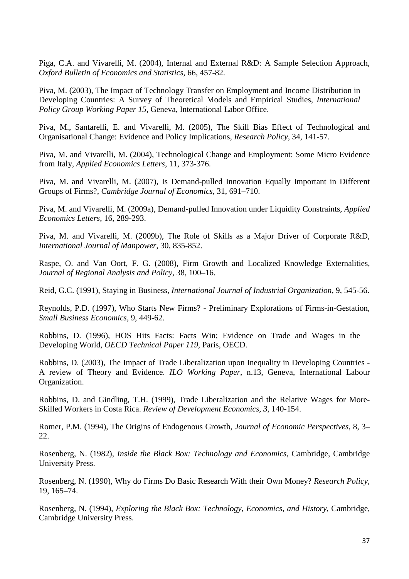Piga, C.A. and Vivarelli, M. (2004), Internal and External R&D: A Sample Selection Approach, *Oxford Bulletin of Economics and Statistics*, 66, 457-82.

Piva, M. (2003), The Impact of Technology Transfer on Employment and Income Distribution in Developing Countries: A Survey of Theoretical Models and Empirical Studies, *International Policy Group Working Paper 15*, Geneva, International Labor Office.

Piva, M., Santarelli, E. and Vivarelli, M. (2005), The Skill Bias Effect of Technological and Organisational Change: Evidence and Policy Implications, *Research Policy*, 34, 141-57.

Piva, M. and Vivarelli, M. (2004), Technological Change and Employment: Some Micro Evidence from Italy, *Applied Economics Letters*, 11, 373-376.

Piva, M. and Vivarelli, M. (2007), Is Demand-pulled Innovation Equally Important in Different Groups of Firms?, *Cambridge Journal of Economics*, 31, 691–710.

Piva, M. and Vivarelli, M. (2009a), Demand-pulled Innovation under Liquidity Constraints, *Applied Economics Letters*, 16, 289-293.

Piva, M. and Vivarelli, M. (2009b), The Role of Skills as a Major Driver of Corporate R&D, *International Journal of Manpower*, 30, 835-852.

Raspe, O. and Van Oort, F. G. (2008), Firm Growth and Localized Knowledge Externalities, *Journal of Regional Analysis and Policy,* 38, 100–16.

Reid, G.C. (1991), Staying in Business, *International Journal of Industrial Organization,* 9, 545-56.

Reynolds, P.D. (1997), Who Starts New Firms? - Preliminary Explorations of Firms-in-Gestation, *Small Business Economics,* 9, 449-62.

Robbins, D. (1996), HOS Hits Facts: Facts Win; Evidence on Trade and Wages in the Developing World, *OECD Technical Paper 119*, Paris, OECD.

Robbins, D. (2003), The Impact of Trade Liberalization upon Inequality in Developing Countries - A review of Theory and Evidence. *ILO Working Paper,* n.13, Geneva, International Labour Organization.

Robbins, D. and Gindling, T.H. (1999), Trade Liberalization and the Relative Wages for More-Skilled Workers in Costa Rica. *Review of Development Economics*, *3*, 140-154.

Romer, P.M. (1994), The Origins of Endogenous Growth, *Journal of Economic Perspectives*, 8, 3– 22.

Rosenberg, N. (1982), *Inside the Black Box: Technology and Economics*, Cambridge, Cambridge University Press.

Rosenberg, N. (1990), Why do Firms Do Basic Research With their Own Money? *Research Policy,*  19, 165–74.

Rosenberg, N. (1994), *Exploring the Black Box: Technology, Economics, and History*, Cambridge, Cambridge University Press.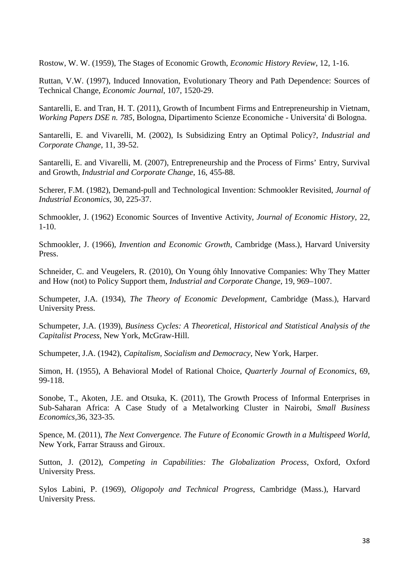Rostow, W. W. (1959), The Stages of Economic Growth, *Economic History Review*, 12, 1-16.

Ruttan, V.W. (1997), Induced Innovation, Evolutionary Theory and Path Dependence: Sources of Technical Change, *Economic Journal*, 107, 1520-29.

Santarelli, E. and Tran, H. T. (2011), [Growth of Incumbent Firms and Entrepreneurship in Vietnam,](http://ideas.repec.org/p/bol/bodewp/wp785.html) *[Working Papers](http://ideas.repec.org/s/bol/bodewp.html) DSE n. 785*, Bologna, Dipartimento Scienze Economiche - Universita' di Bologna.

Santarelli, E. and Vivarelli, M. (2002), Is Subsidizing Entry an Optimal Policy?, *Industrial and Corporate Change*, 11, 39-52.

Santarelli, E. and Vivarelli, M. (2007), Entrepreneurship and the Process of Firms' Entry, Survival and Growth, *Industrial and Corporate Change*, 16, 455-88.

Scherer, F.M. (1982), Demand-pull and Technological Invention: Schmookler Revisited, *Journal of Industrial Economics*, 30, 225-37.

Schmookler, J. (1962) Economic Sources of Inventive Activity, *Journal of Economic History*, 22, 1-10.

Schmookler, J. (1966), *Invention and Economic Growth*, Cambridge (Mass.), Harvard University Press.

Schneider, C. and Veugelers, R. (2010), On Young óhly Innovative Companies: Why They Matter and How (not) to Policy Support them, *Industrial and Corporate Change*, 19, 969–1007.

Schumpeter, J.A. (1934), *The Theory of Economic Development*, Cambridge (Mass.), Harvard University Press.

Schumpeter, J.A. (1939), *Business Cycles: A Theoretical, Historical and Statistical Analysis of the Capitalist Process*, New York, McGraw-Hill.

Schumpeter, J.A. (1942), *Capitalism, Socialism and Democracy*, New York, Harper.

Simon, H. (1955), A Behavioral Model of Rational Choice, *Quarterly Journal of Economics*, 69, 99-118.

Sonobe, T., Akoten, J.E. and Otsuka, K. (2011), The Growth Process of Informal Enterprises in Sub-Saharan Africa: A Case Study of a Metalworking Cluster in Nairobi, *Small Business Economics,*36, 323-35.

Spence, M. (2011), *The Next Convergence. The Future of Economic Growth in a Multispeed World*, New York, Farrar Strauss and Giroux.

Sutton, J. (2012), *Competing in Capabilities: The Globalization Process*, Oxford, Oxford University Press.

Sylos Labini, P. (1969), *Oligopoly and Technical Progress*, Cambridge (Mass.), Harvard University Press.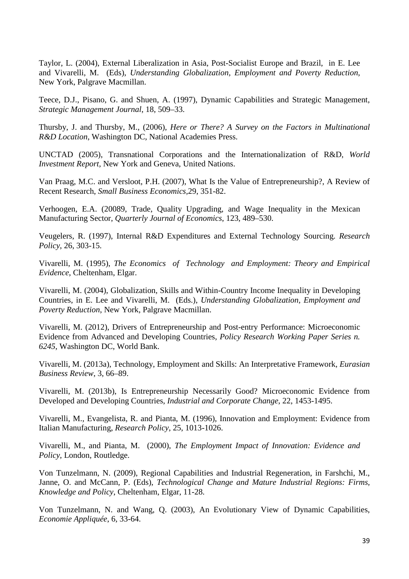Taylor, L. (2004), External Liberalization in Asia, Post-Socialist Europe and Brazil, in E. Lee and Vivarelli, M. (Eds), *Understanding Globalization, Employment and Poverty Reduction*, New York, Palgrave Macmillan.

Teece, D.J., Pisano, G. and Shuen, A. (1997), Dynamic Capabilities and Strategic Management, *Strategic Management Journal*, 18, 509–33.

Thursby, J. and Thursby, M., (2006), *Here or There? A Survey on the Factors in Multinational R&D Location*, Washington DC, National Academies Press.

UNCTAD (2005), Transnational Corporations and the Internationalization of R&D, *World Investment Report,* New York and Geneva, United Nations.

Van Praag, M.C. and Versloot, P.H. (2007), What Is the Value of Entrepreneurship?, A Review of Recent Research, *Small Business Economics,*29, 351-82.

Verhoogen, E.A. (20089, Trade, Quality Upgrading, and Wage Inequality in the Mexican Manufacturing Sector, *Quarterly Journal of Economics*, 123, 489–530.

Veugelers, R. (1997), Internal R&D Expenditures and External Technology Sourcing. *Research Policy*, 26, 303-15.

Vivarelli, M. (1995), *The Economics of Technology and Employment: Theory and Empirical Evidence*, Cheltenham, Elgar.

Vivarelli, M. (2004), Globalization, Skills and Within-Country Income Inequality in Developing Countries, in E. Lee and Vivarelli, M. (Eds.), *Understanding Globalization, Employment and Poverty Reduction*, New York, Palgrave Macmillan.

Vivarelli, M. (2012), [Drivers of Entrepreneurship and Post-entry Performance: Microeconomic](http://ideas.repec.org/p/wbk/wbrwps/6245.html)  [Evidence from Advanced and Developing Countries,](http://ideas.repec.org/p/wbk/wbrwps/6245.html) *[Policy Research Working Paper Series](http://ideas.repec.org/s/wbk/wbrwps.html) n. 6245*, Washington DC, World Bank.

Vivarelli, M. (2013a), Technology, Employment and Skills: An Interpretative Framework, *Eurasian Business Review*, 3, 66–89.

Vivarelli, M. (2013b), Is Entrepreneurship Necessarily Good? Microeconomic Evidence from Developed and Developing Countries, *Industrial and Corporate Change*, 22, 1453-1495.

Vivarelli, M., Evangelista, R. and Pianta, M. (1996), Innovation and Employment: Evidence from Italian Manufacturing, *Research Policy*, 25, 1013-1026.

Vivarelli, M., and Pianta, M. (2000), *The Employment Impact of Innovation: Evidence and Policy*, London, Routledge.

Von Tunzelmann, N. (2009), Regional Capabilities and Industrial Regeneration, in Farshchi, M., Janne, O. and McCann, P. (Eds), *Technological Change and Mature Industrial Regions: Firms, Knowledge and Policy*, Cheltenham, Elgar, 11-28.

Von Tunzelmann, N. and Wang, Q. (2003), An Evolutionary View of Dynamic Capabilities, *Economie Appliquée*, 6, 33-64.